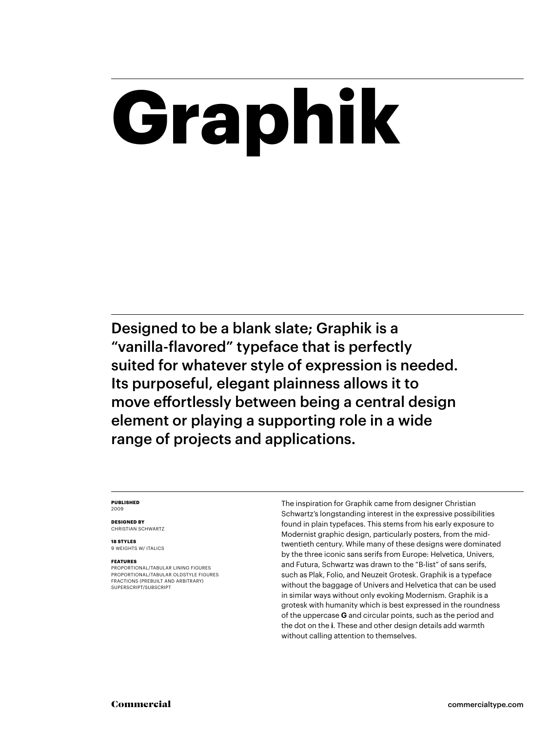# **Graphik**

Designed to be a blank slate; Graphik is a "vanilla-flavored" typeface that is perfectly suited for whatever style of expression is needed. Its purposeful, elegant plainness allows it to move effortlessly between being a central design element or playing a supporting role in a wide range of projects and applications.

### **PUBLISHED** 2009

**DESIGNED BY** CHRISTIAN SCHWARTZ

**18 STYLES** 9 WEIGHTS W/ ITALICS

### **FEATURES**

PROPORTIONAL/TABULAR LINING FIGURES PROPORTIONAL/TABULAR OLDSTYLE FIGURES FRACTIONS (PREBUILT AND ARBITRARY) SUPERSCRIPT/SUBSCRIPT

The inspiration for Graphik came from designer Christian Schwartz's longstanding interest in the expressive possibilities found in plain typefaces. This stems from his early exposure to Modernist graphic design, particularly posters, from the midtwentieth century. While many of these designs were dominated by the three iconic sans serifs from Europe: Helvetica, Univers, and Futura, Schwartz was drawn to the "B-list" of sans serifs, such as Plak, Folio, and Neuzeit Grotesk. Graphik is a typeface without the baggage of Univers and Helvetica that can be used in similar ways without only evoking Modernism. Graphik is a grotesk with humanity which is best expressed in the roundness of the uppercase **G** and circular points, such as the period and the dot on the **i**. These and other design details add warmth without calling attention to themselves.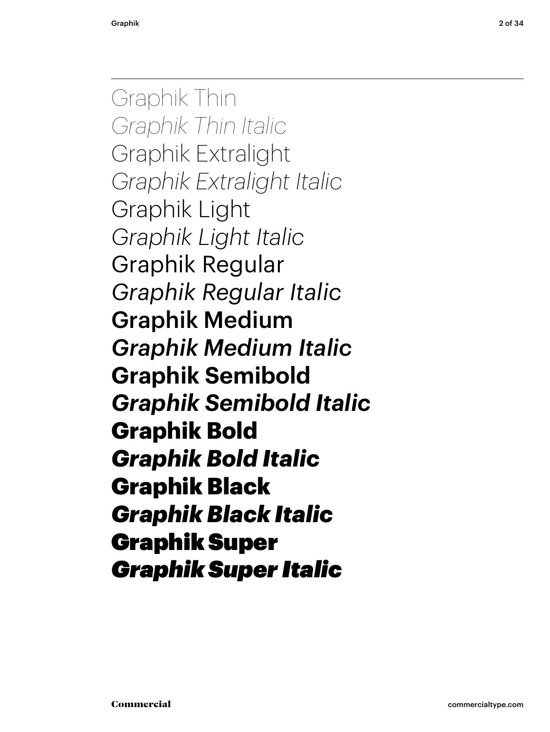Graphik Thin *Graphik Thin Italic* Graphik Extralight *Graphik Extralight Italic* Graphik Light *Graphik Light Italic* Graphik Regular *Graphik Regular Italic* Graphik Medium *Graphik Medium Italic* **Graphik Semibold** *Graphik Semibold Italic* **Graphik Bold** *Graphik Bold Italic* Graphik Black *Graphik Black Italic* Graphik Super *Graphik Super Italic*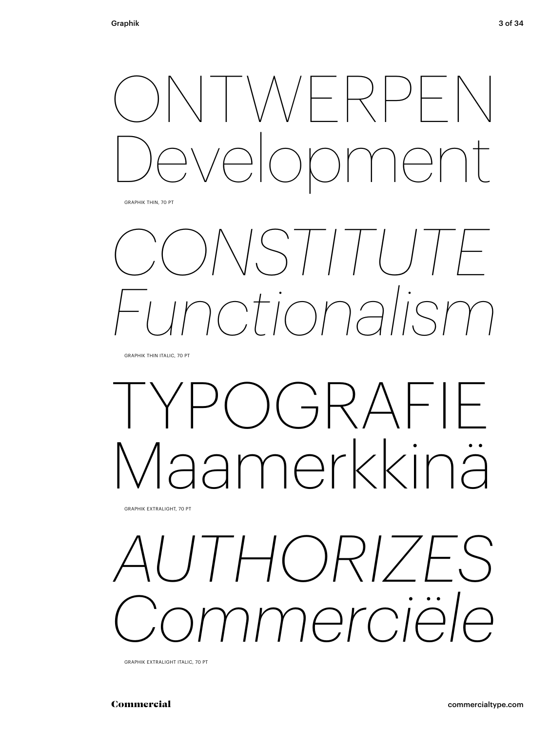

GRAPHIK THIN, 70 PT

## *CONSTITUTE Functionalism*

GRAPHIK THIN ITALIC, 70 PT

## $C$ ) $GRAFIF$ Maamerkkinä

GRAPHIK EXTRALIGHT, 70 PT

### *AUTHORIZES Commerciële*

GRAPHIK EXTRALIGHT ITALIC, 70 PT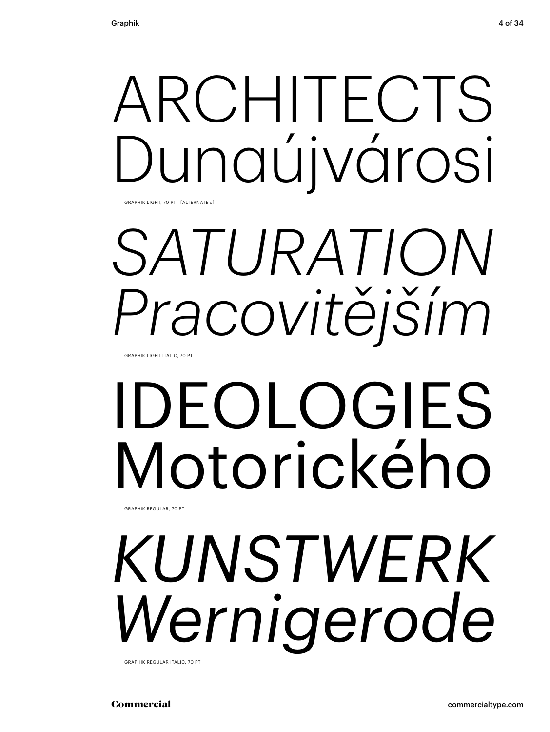## ARCHITECTS Dunaújvárosi

GRAPHIK LIGHT, 70 PT [ALTERNATE a]

## *SATURATION Pracovitějším*

GRAPHIK LIGHT ITALIC, 70 PT

### IDEOLOGIES Motorického GRAPHIK REGULAR, 70 PT

*KUNSTWERK Wernigerode* GRAPHIK REGULAR ITALIC, 70 PT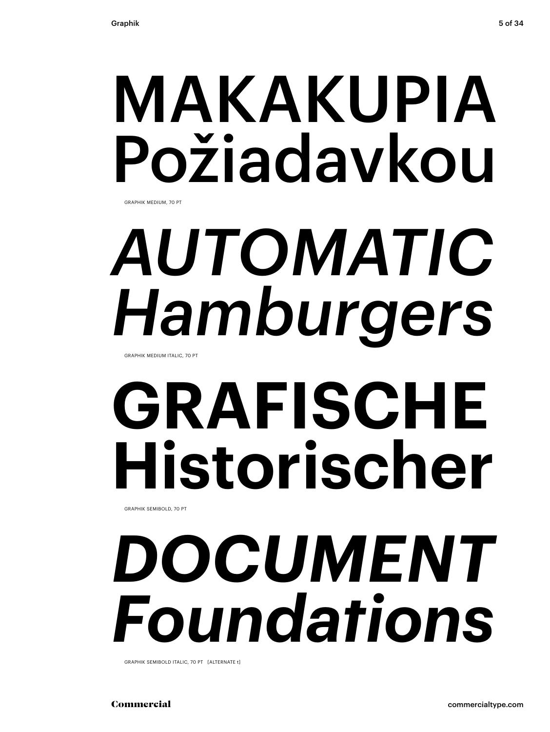# MAKAKUPIA Požiadavkou

GRAPHIK MEDIUM, 70 PT

# *AUTOMATIC Hamburgers*

GRAPHIK MEDIUM ITALIC, 70 PT

# **GRAFISCHE Historischer**

GRAPHIK SEMIBOLD, 70 PT

## *DOCUMENT Foundations*

GRAPHIK SEMIBOLD ITALIC, 70 PT [ALTERNATE t]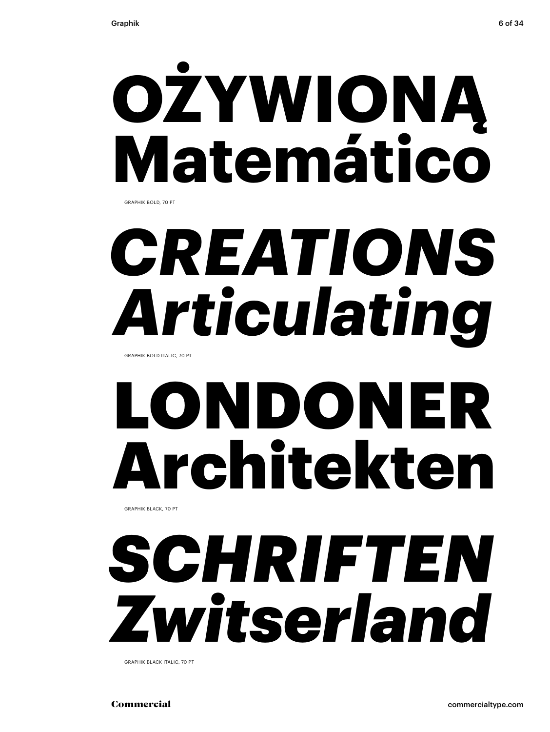

GRAPHIK BOLD, 70 PT

# *CREATIONS Articulating*

GRAPHIK BOLD ITALIC, 70 PT

# LONDONER Architekten

GRAPHIK BLACK, 70 PT

### *SCHRIFTEN Zwitserland*

GRAPHIK BLACK ITALIC, 70 PT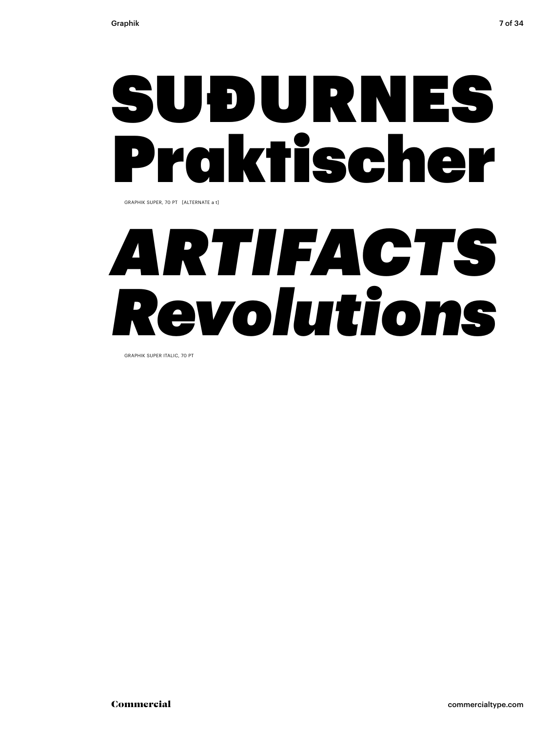## SUÐURNES Praktischer

GRAPHIK SUPER, 70 PT [ALTERNATE a t]

## *ARTIFACTS Revolutions*

GRAPHIK SUPER ITALIC, 70 PT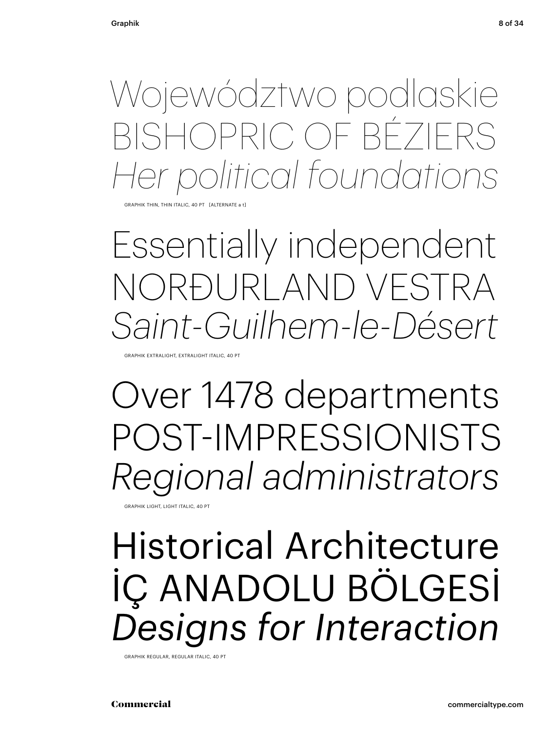Województwo podlaskie BISHOPRIC OF BÉZIERS *Her political foundations*

HIK THIN, THIN ITALIC, 40 PT [ALTERNATE

Essentially independent NORÐURLAND VESTRA *Saint-Guilhem-le-Désert*

GRAPHIK EXTRALIGHT, EXTRALIGHT ITALIC, 40 PT

Over 1478 departments POST-IMPRESSIONISTS *Regional administrators*

GRAPHIK LIGHT, LIGHT ITALIC, 40 PT

### Historical Architecture İÇ ANADOLU BÖLGESİ *Designs for Interaction*

GRAPHIK REGULAR, REGULAR ITALIC, 40 PT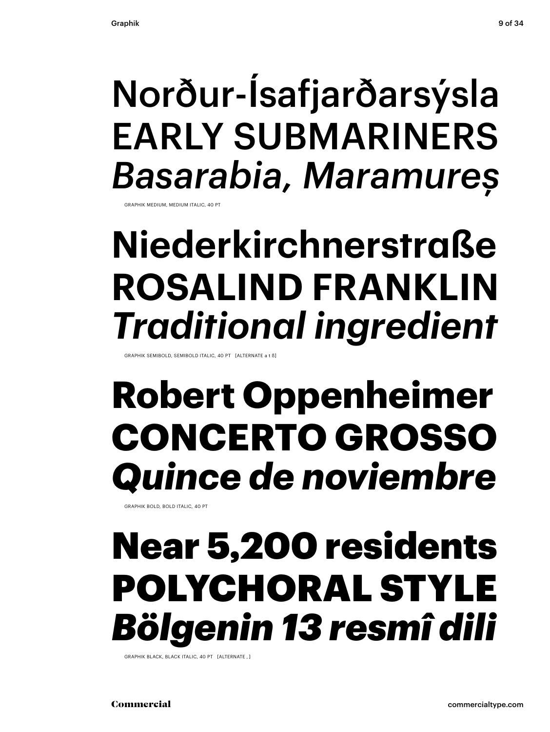### Norður-Ísafjarðarsýsla EARLY SUBMARINERS *Basarabia, Maramureș*

GRAPHIK MEDIUM, MEDIUM ITALIC, 40 PT

### **Niederkirchnerstraße ROSALIND FRANKLIN** *Traditional ingredient*

GRAPHIK SEMIBOLD, SEMIBOLD ITALIC, 40 PT [ALTERNATE a t ß]

### **Robert Oppenheimer CONCERTO GROSSO** *Quince de noviembre*

GRAPHIK BOLD, BOLD ITALIC, 40 PT

### Near 5,200 residents POLYCHORAL STYLE *Bölgenin 13 resmî dili*

GRAPHIK BLACK, BLACK ITALIC, 40 PT [ALTERNATE , ]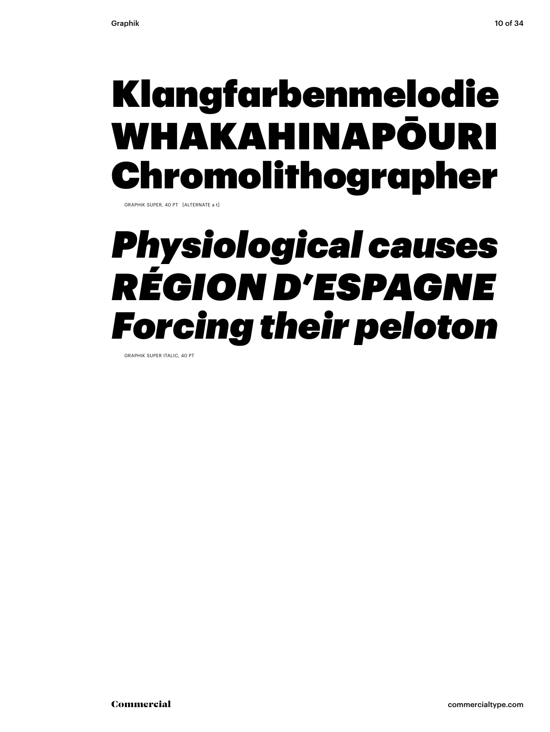### Klangfarbenmelodie WHAKAHINAPŌURI Chromolithographer

GRAPHIK SUPER, 40 PT [ALTERNATE a t]

### *Physiological causes RÉGION D'ESPAGNE Forcing their peloton*

GRAPHIK SUPER ITALIC, 40 PT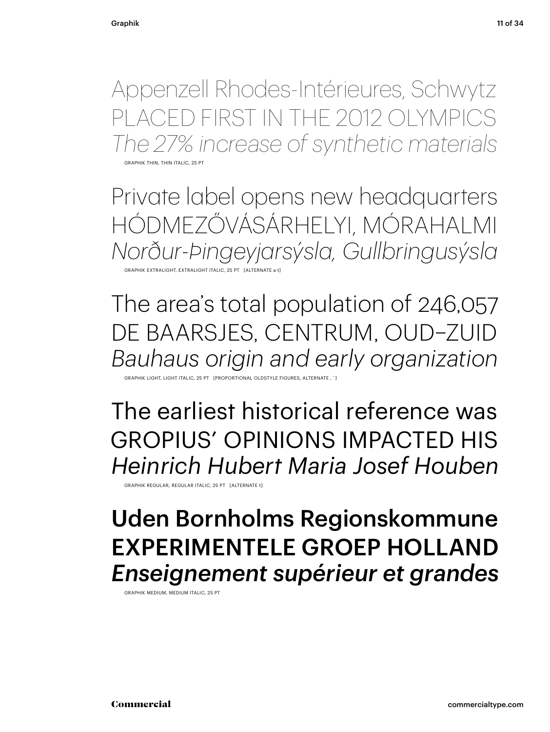Appenzell Rhodes-Intérieures, Schwytz PLACED FIRST IN THE 2012 OLYMPICS *The 27% increase of synthetic materials*

GRAPHIK THIN, THIN ITALIC, 25 PT

Private label opens new headquarters HÓDMEZŐVÁSÁRHELYI, MÓRAHALMI *Norður-Þingeyjarsýsla, Gullbringusýsla* GRAPHIK EXTRALIGHT, EXTRALIGHT ITALIC, 25 PT [ALTERNATE a

The area's total population of 246,057 DE BAARSJES, CENTRUM, OUD–ZUID *Bauhaus origin and early organization*

GRAPTIONAL OLDSTYLE

The earliest historical reference was GROPIUS' OPINIONS IMPACTED HIS *Heinrich Hubert Maria Josef Houben*

GRAPHIK REGULAR, REGULAR ITALIC, 25 PT [ALTERNATE t]

### Uden Bornholms Regionskommune EXPERIMENTELE GROEP HOLLAND *Enseignement supérieur et grandes*

GRAPHIK MEDIUM, MEDIUM ITALIC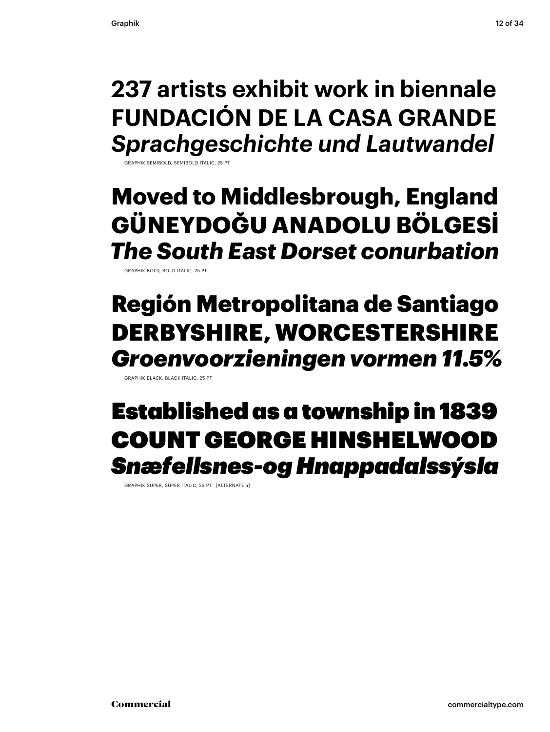**237 artists exhibit work in biennale FUNDACIÓN DE LA CASA GRANDE** *Sprachgeschichte und Lautwandel*

GRAPHIK SEMIBOLD, SEMIBOLD ITALIC, 25

### **Moved to Middlesbrough, England GÜNEYDOĞU ANADOLU BÖLGESİ** *The South East Dorset conurbation*

GRAPHIK BOLD, BOLD ITALIC, 25 PT

### Región Metropolitana de Santiago DERBYSHIRE, WORCESTERSHIRE *Groenvoorzieningen vormen 11.5%*

GRAPHIK BLACK, BLACK ITALIC, 25 PT

### Established as a township in 1839 COUNT GEORGE HINSHELWOOD *Snæfellsnes-og Hnappadalssýsla*

GRAPHIK SUPER, SUPER ITALIC, 25 PT [ALTERNATE a]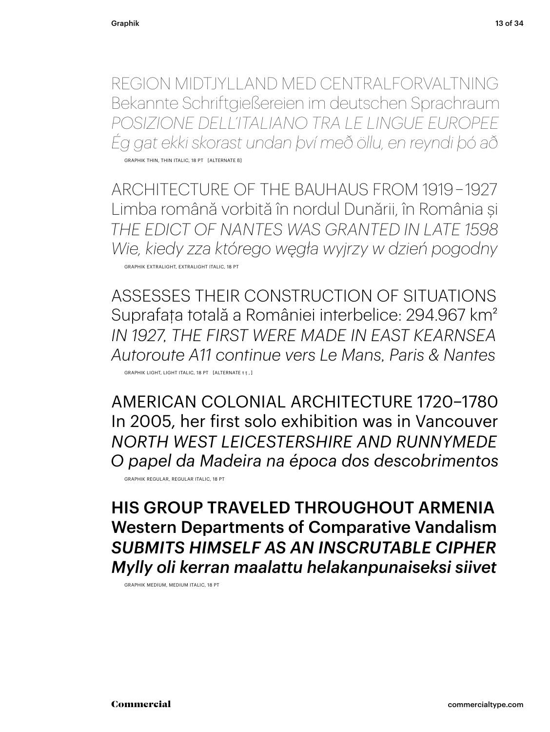REGION MIDTJYLLAND MED CENTRALFORVALTNING Bekannte Schriftgießereien im deutschen Sprachraum *POSIZIONE DELL'ITALIANO TRA LE LINGUE EUROPEE Ég gat ekki skorast undan því með öllu, en reyndi þó að*

GRAPHIK THIN, THIN ITALIC, 18 PT [ALTERNATE ß]

ARCHITECTURE OF THE BAUHAUS FROM 1919 – 1927 Limba română vorbită în nordul Dunării, în România și *THE EDICT OF NANTES WAS GRANTED IN LATE 1598 Wie, kiedy zza którego węgła wyjrzy w dzień pogodny* GRAPHIK EXTRALIGHT, EXTRALIGHT ITALIC, 18 PT

ASSESSES THEIR CONSTRUCTION OF SITUATIONS Suprafaţa totală a României interbelice: 294.967 km2 *IN 1927, THE FIRST WERE MADE IN EAST KEARNSEA Autoroute A11 continue vers Le Mans, Paris & Nantes* GRAPHIK LIGHT, LIGHT ITALIC, 18 PT [ALTERNATE t ţ , ]

AMERICAN COLONIAL ARCHITECTURE 1720–1780 In 2005, her first solo exhibition was in Vancouver *NORTH WEST LEICESTERSHIRE AND RUNNYMEDE O papel da Madeira na época dos descobrimentos* GRAPHIK REGULAR, REGULAR ITALIC, 18 PT

HIS GROUP TRAVELED THROUGHOUT ARMENIA Western Departments of Comparative Vandalism *SUBMITS HIMSELF AS AN INSCRUTABLE CIPHER Mylly oli kerran maalattu helakanpunaiseksi siivet*

GRAPHIK MEDIUM, MEDIUM ITALIC, 18 PT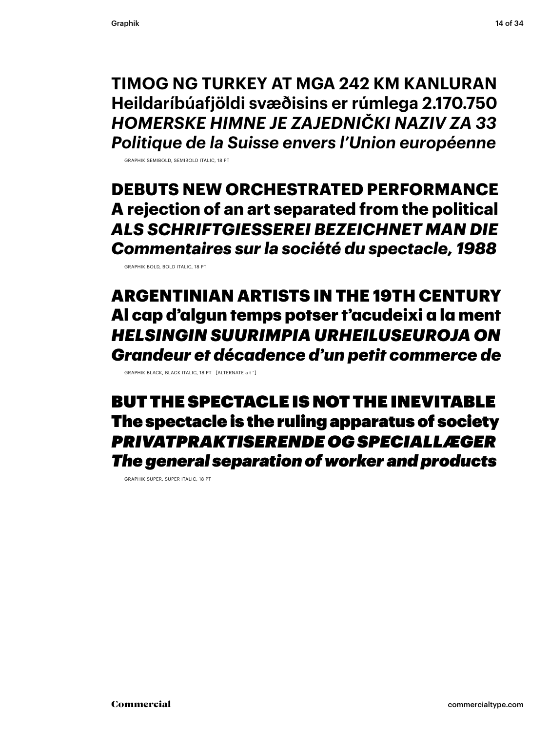**TIMOG NG TURKEY AT MGA 242 KM KANLURAN Heildaríbúafjöldi svæðisins er rúmlega 2.170.750** *HOMERSKE HIMNE JE ZAJEDNIČKI NAZIV ZA 33 Politique de la Suisse envers l'Union européenne*

GRAPHIK SEMIBOLD, SEMIBOLD ITALIC, 18 PT

**DEBUTS NEW ORCHESTRATED PERFORMANCE A rejection of an art separated from the political** *ALS SCHRIFTGIESSEREI BEZEICHNET MAN DIE Commentaires sur la société du spectacle, 1988*

GRAPHIK BOLD, BOLD ITALIC, 18 PT

ARGENTINIAN ARTISTS IN THE 19TH CENTURY Al cap d'algun temps potser t'acudeixi a la ment *HELSINGIN SUURIMPIA URHEILUSEUROJA ON Grandeur et décadence d'un petit commerce de*

GRAPHIK BLACK, BLACK ITALIC, 18 PT [ALTERNATE a t ' ]

BUT THE SPECTACLE IS NOT THE INEVITABLE The spectacle is the ruling apparatus of society *PRIVATPRAKTISERENDE OG SPECIALLÆGER The general separation of worker and products*

GRAPHIK SUPER, SUPER ITALIC, 18 PT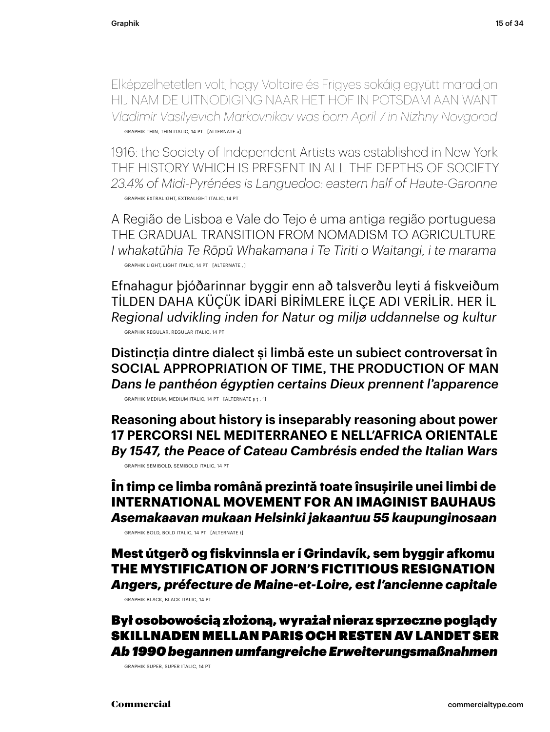Elképzelhetetlen volt, hogy Voltaire és Frigyes sokáig együtt maradjon HIJ NAM DE UITNODIGING NAAR HET HOF IN POTSDAM AAN WANT *Vladimir Vasilyevich Markovnikov was born April 7 in Nizhny Novgorod* GRAPHIK THIN, THIN ITALIC, 14 PT [ALTERNATE a]

1916: the Society of Independent Artists was established in New York THE HISTORY WHICH IS PRESENT IN ALL THE DEPTHS OF SOCIETY *23.4% of Midi-Pyrénées is Languedoc: eastern half of Haute-Garonne* GRAPHIK EXTRALIGHT, EXTRALIGHT ITALIC, 14 PT

A Região de Lisboa e Vale do Tejo é uma antiga região portuguesa THE GRADUAL TRANSITION FROM NOMADISM TO AGRICULTURE *I whakatūhia Te Rōpū Whakamana i Te Tiriti o Waitangi, i te marama* GRAPHIK LIGHT, LIGHT ITALIC, 14 PT [ALTERNATE , ]

Efnahagur þjóðarinnar byggir enn að talsverðu leyti á fiskveiðum TİLDEN DAHA KÜÇÜK İDARİ BİRİMLERE İLÇE ADI VERİLİR. HER İL *Regional udvikling inden for Natur og miljø uddannelse og kultur* GRAPHIK REGULAR, REGULAR ITALIC, 14 PT

Distincţia dintre dialect și limbă este un subiect controversat în SOCIAL APPROPRIATION OF TIME, THE PRODUCTION OF MAN *Dans le panthéon égyptien certains Dieux prennent l'apparence* GRAPHIK MEDIUM, MEDIUM ITALIC, 14 PT [ALTERNATE ș ţ , ' ]

**Reasoning about history is inseparably reasoning about power 17 PERCORSI NEL MEDITERRANEO E NELL'AFRICA ORIENTALE** *By 1547, the Peace of Cateau Cambrésis ended the Italian Wars*

GRAPHIK SEMIBOLD, SEMIBOLD ITALIC, 14 PT

**În timp ce limba română prezintă toate însușirile unei limbi de INTERNATIONAL MOVEMENT FOR AN IMAGINIST BAUHAUS** *Asemakaavan mukaan Helsinki jakaantuu 55 kaupunginosaan*

GRAPHIK BOLD, BOLD ITALIC, 14 PT [ALTERNATE t]

Mest útgerð og fiskvinnsla er í Grindavík, sem byggir afkomu THE MYSTIFICATION OF JORN'S FICTITIOUS RESIGNATION *Angers, préfecture de Maine-et-Loire, est l'ancienne capitale* GRAPHIK BLACK, BLACK ITALIC, 14 PT

### Był osobowością złożoną, wyrażał nieraz sprzeczne poglądy SKILLNADEN MELLAN PARIS OCH RESTEN AV LANDET SER *Ab 1990 begannen umfangreiche Erweiterungsmaßnahmen*

GRAPHIK SUPER, SUPER ITALIC, 14 PT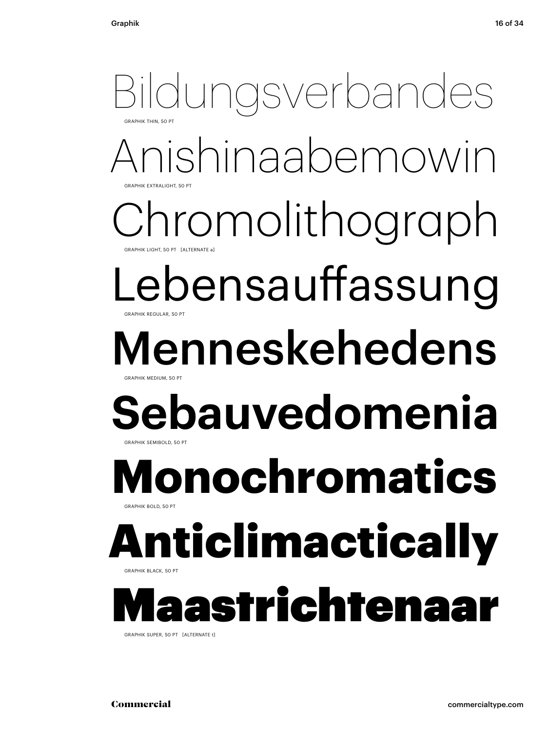### Anishinaabemowin aromolithograph ebensauffassung Menneskehedens **Sebauvedomenia** Bildungsverbandes GRAPHIK THIN, 50 PT GRAPHIK EXTRALIGHT, 50 PT GRAPHIK LIGHT, 50 PT GRAPHIK REGULAR, 50 PT DAPHIK MEDIUM, 50 GRAPHIK SEMIBOLD, 50 **Monochromatics** GRAPHIK BOLD, 50 PT **Iticlimactical** GRAPHIK BLACK, 50 PT astrichtenaar

GRAPHIK SUPER, 50 PT [ALTERNATE t]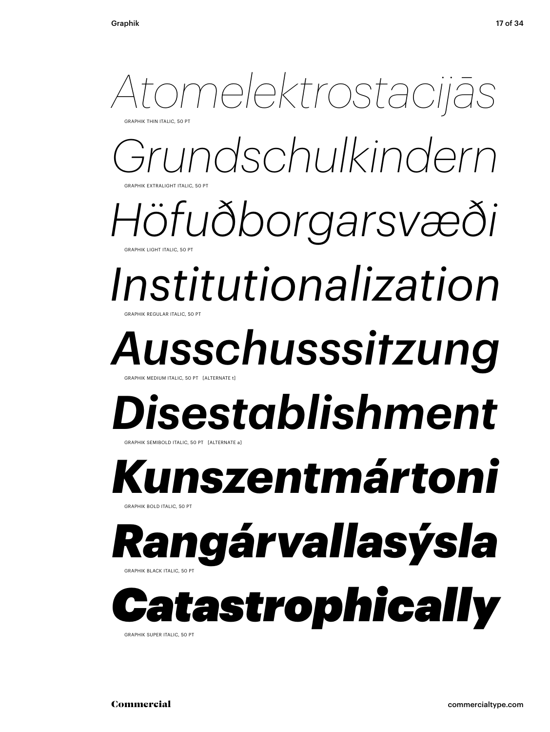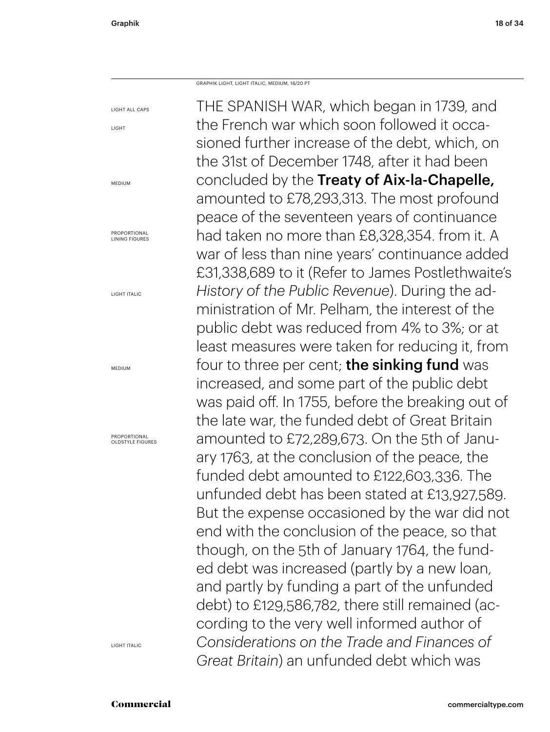GRAPHIK LIGHT, LIGHT ITALIC, MEDIUM, 16/20 PT

LIGHT ALL CAPS LIGHT MEDIUM PROPORTIONAL LINING FIGURES LIGHT ITALIC THE SPANISH WAR, which began in 1739, and the French war which soon followed it occasioned further increase of the debt, which, on the 31st of December 1748, after it had been concluded by the Treaty of Aix-la-Chapelle, amounted to £78,293,313. The most profound peace of the seventeen years of continuance had taken no more than £8,328,354. from it. A war of less than nine years' continuance added £31,338,689 to it (Refer to James Postlethwaite's *History of the Public Revenue*). During the administration of Mr. Pelham, the interest of the public debt was reduced from 4% to 3%; or at least measures were taken for reducing it, from four to three per cent; **the sinking fund** was increased, and some part of the public debt was paid off. In 1755, before the breaking out of the late war, the funded debt of Great Britain amounted to £72,289,673. On the 5th of January 1763, at the conclusion of the peace, the funded debt amounted to £122,603,336. The unfunded debt has been stated at £13,927,589. But the expense occasioned by the war did not end with the conclusion of the peace, so that though, on the 5th of January 1764, the funded debt was increased (partly by a new loan, and partly by funding a part of the unfunded debt) to £129,586,782, there still remained (according to the very well informed author of *Considerations on the Trade and Finances of Great Britain*) an unfunded debt which was

MEDIUM

PROPORTIONAL OLDSTYLE FIGURES

LIGHT ITALIC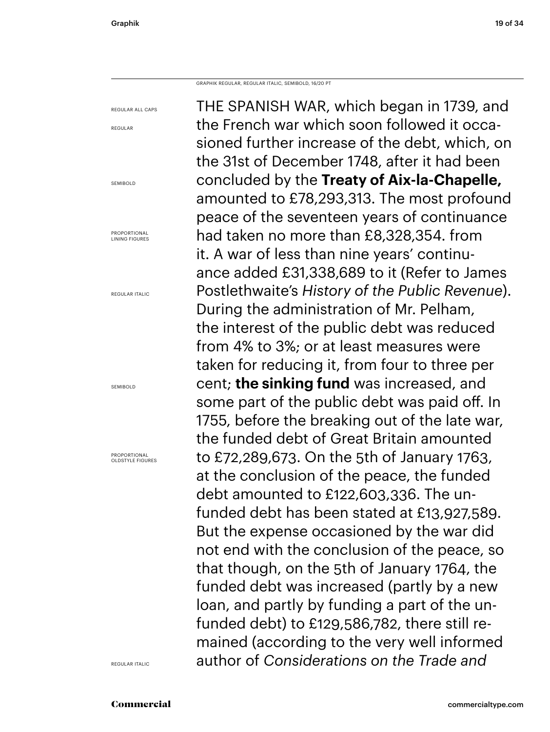GRAPHIK REGULAR, REGULAR ITALIC, SEMIBOLD, 16/20 PT

REGULAR ALL CAPS REGULAR SEMIBOLD PROPORTIONAL LINING FIGURES REGULAR ITALIC SEMIBOLD PROPORTIONAL OLDSTYLE FIGURES THE SPANISH WAR, which began in 1739, and the French war which soon followed it occasioned further increase of the debt, which, on the 31st of December 1748, after it had been concluded by the **Treaty of Aix-la-Chapelle,**  amounted to £78,293,313. The most profound peace of the seventeen years of continuance had taken no more than £8,328,354. from it. A war of less than nine years' continuance added £31,338,689 to it (Refer to James Postlethwaite's *History of the Public Revenue*). During the administration of Mr. Pelham, the interest of the public debt was reduced from 4% to 3%; or at least measures were taken for reducing it, from four to three per cent; **the sinking fund** was increased, and some part of the public debt was paid off. In 1755, before the breaking out of the late war, the funded debt of Great Britain amounted to £72,289,673. On the 5th of January 1763, at the conclusion of the peace, the funded debt amounted to £122,603,336. The unfunded debt has been stated at £13,927,589. But the expense occasioned by the war did not end with the conclusion of the peace, so that though, on the 5th of January 1764, the funded debt was increased (partly by a new loan, and partly by funding a part of the unfunded debt) to £129,586,782, there still remained (according to the very well informed author of *Considerations on the Trade and* 

REGULAR ITALIC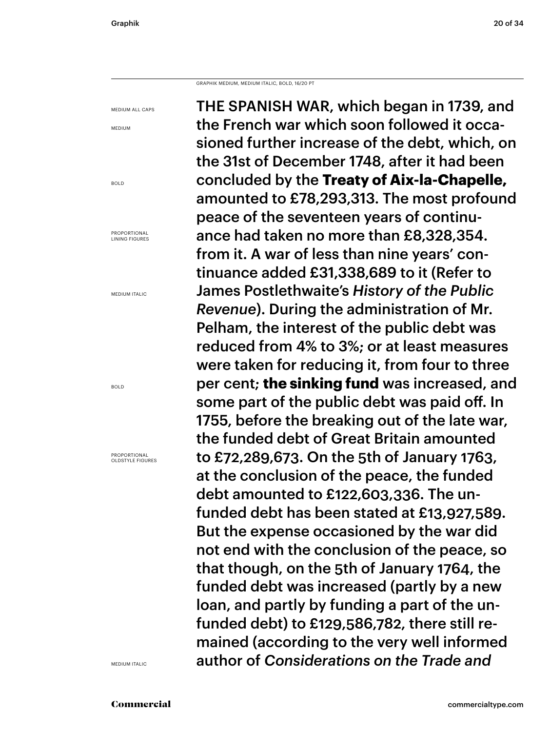GRAPHIK MEDIUM, MEDIUM ITALIC, BOLD, 16/20 PT

MEDIUM ALL CAPS THE SPANISH WAR, which began in 1739, and the French war which soon followed it occasioned further increase of the debt, which, on the 31st of December 1748, after it had been concluded by the **Treaty of Aix-la-Chapelle,**  amounted to £78,293,313. The most profound peace of the seventeen years of continuance had taken no more than £8,328,354. from it. A war of less than nine years' continuance added £31,338,689 to it (Refer to James Postlethwaite's *History of the Public Revenue*). During the administration of Mr. Pelham, the interest of the public debt was reduced from 4% to 3%; or at least measures were taken for reducing it, from four to three per cent; **the sinking fund** was increased, and some part of the public debt was paid off. In 1755, before the breaking out of the late war, the funded debt of Great Britain amounted to £72,289,673. On the 5th of January 1763, at the conclusion of the peace, the funded debt amounted to £122,603,336. The unfunded debt has been stated at £13,927,589. But the expense occasioned by the war did not end with the conclusion of the peace, so that though, on the 5th of January 1764, the funded debt was increased (partly by a new loan, and partly by funding a part of the unfunded debt) to £129,586,782, there still remained (according to the very well informed author of *Considerations on the Trade and* 

MEDIUM

BOLD

PROPORTIONAL LINING FIGURES

MEDIUM ITALIC

BOLD

PROPORTIONAL OLDSTYLE FIGURES

MEDIUM ITALIC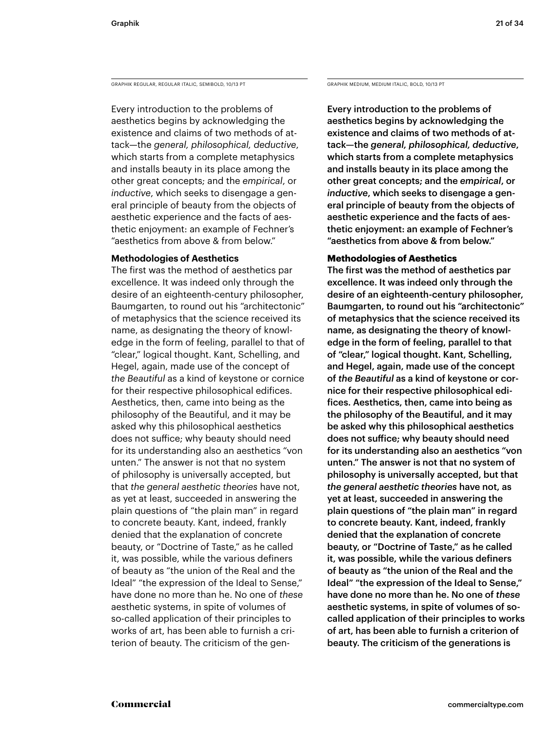GRAPHIK REGULAR, REGULAR ITALIC, SEMIBOLD, 10/13 PT GRAPHIK MEDIUM, MEDIUM, MEDIUM ITALIC, BOLD, 10/13 PT

Every introduction to the problems of aesthetics begins by acknowledging the existence and claims of two methods of attack—the *general, philosophical, deductive*, which starts from a complete metaphysics and installs beauty in its place among the other great concepts; and the *empirical*, or *inductive*, which seeks to disengage a general principle of beauty from the objects of aesthetic experience and the facts of aesthetic enjoyment: an example of Fechner's "aesthetics from above & from below."

### **Methodologies of Aesthetics**

The first was the method of aesthetics par excellence. It was indeed only through the desire of an eighteenth-century philosopher, Baumgarten, to round out his "architectonic" of metaphysics that the science received its name, as designating the theory of knowledge in the form of feeling, parallel to that of "clear," logical thought. Kant, Schelling, and Hegel, again, made use of the concept of *the Beautiful* as a kind of keystone or cornice for their respective philosophical edifices. Aesthetics, then, came into being as the philosophy of the Beautiful, and it may be asked why this philosophical aesthetics does not suffice; why beauty should need for its understanding also an aesthetics "von unten." The answer is not that no system of philosophy is universally accepted, but that *the general aesthetic theories* have not, as yet at least, succeeded in answering the plain questions of "the plain man" in regard to concrete beauty. Kant, indeed, frankly denied that the explanation of concrete beauty, or "Doctrine of Taste," as he called it, was possible, while the various definers of beauty as "the union of the Real and the Ideal" "the expression of the Ideal to Sense," have done no more than he. No one of *these* aesthetic systems, in spite of volumes of so-called application of their principles to works of art, has been able to furnish a criterion of beauty. The criticism of the gen-

Every introduction to the problems of aesthetics begins by acknowledging the existence and claims of two methods of attack—the *general, philosophical, deductive*, which starts from a complete metaphysics and installs beauty in its place among the other great concepts; and the *empirical*, or *inductive*, which seeks to disengage a general principle of beauty from the objects of aesthetic experience and the facts of aesthetic enjoyment: an example of Fechner's "aesthetics from above & from below."

### **Methodologies of Aesthetics**

The first was the method of aesthetics par excellence. It was indeed only through the desire of an eighteenth-century philosopher, Baumgarten, to round out his "architectonic" of metaphysics that the science received its name, as designating the theory of knowledge in the form of feeling, parallel to that of "clear," logical thought. Kant, Schelling, and Hegel, again, made use of the concept of *the Beautiful* as a kind of keystone or cornice for their respective philosophical edifices. Aesthetics, then, came into being as the philosophy of the Beautiful, and it may be asked why this philosophical aesthetics does not suffice; why beauty should need for its understanding also an aesthetics "von unten." The answer is not that no system of philosophy is universally accepted, but that *the general aesthetic theories* have not, as yet at least, succeeded in answering the plain questions of "the plain man" in regard to concrete beauty. Kant, indeed, frankly denied that the explanation of concrete beauty, or "Doctrine of Taste," as he called it, was possible, while the various definers of beauty as "the union of the Real and the Ideal" "the expression of the Ideal to Sense," have done no more than he. No one of *these* aesthetic systems, in spite of volumes of socalled application of their principles to works of art, has been able to furnish a criterion of beauty. The criticism of the generations is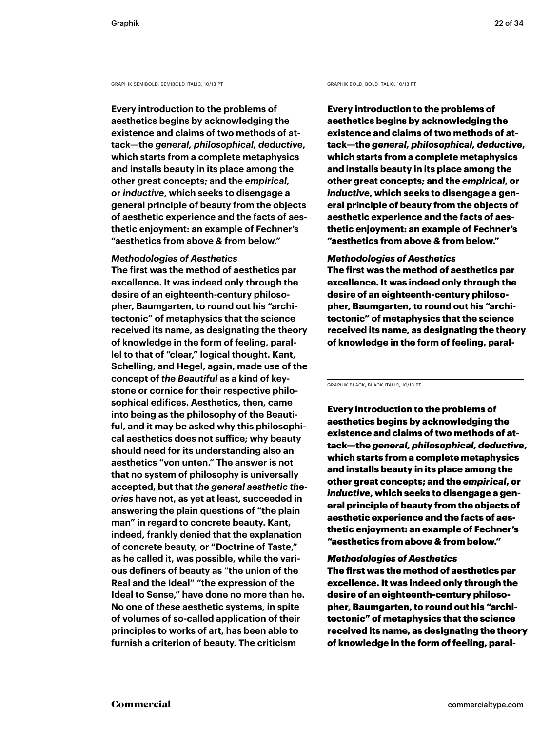GRAPHIK SEMIBOLD, SEMIBOLD ITALIC, 10/13 PT GRAPHIK BOLD, BOLD ITALIC, 10/13 PT

**Every introduction to the problems of aesthetics begins by acknowledging the existence and claims of two methods of attack—the** *general, philosophical, deductive***, which starts from a complete metaphysics and installs beauty in its place among the other great concepts; and the** *empirical***, or** *inductive***, which seeks to disengage a general principle of beauty from the objects of aesthetic experience and the facts of aesthetic enjoyment: an example of Fechner's "aesthetics from above & from below."** 

### *Methodologies of Aesthetics*

**The first was the method of aesthetics par excellence. It was indeed only through the desire of an eighteenth-century philosopher, Baumgarten, to round out his "architectonic" of metaphysics that the science received its name, as designating the theory of knowledge in the form of feeling, parallel to that of "clear," logical thought. Kant, Schelling, and Hegel, again, made use of the concept of** *the Beautiful* **as a kind of keystone or cornice for their respective philosophical edifices. Aesthetics, then, came into being as the philosophy of the Beautiful, and it may be asked why this philosophical aesthetics does not suffice; why beauty should need for its understanding also an aesthetics "von unten." The answer is not that no system of philosophy is universally accepted, but that** *the general aesthetic theories* **have not, as yet at least, succeeded in answering the plain questions of "the plain man" in regard to concrete beauty. Kant, indeed, frankly denied that the explanation of concrete beauty, or "Doctrine of Taste," as he called it, was possible, while the various definers of beauty as "the union of the Real and the Ideal" "the expression of the Ideal to Sense," have done no more than he. No one of** *these* **aesthetic systems, in spite of volumes of so-called application of their principles to works of art, has been able to furnish a criterion of beauty. The criticism** 

**Every introduction to the problems of aesthetics begins by acknowledging the existence and claims of two methods of attack—the** *general, philosophical, deductive***, which starts from a complete metaphysics and installs beauty in its place among the other great concepts; and the** *empirical***, or**  *inductive***, which seeks to disengage a general principle of beauty from the objects of aesthetic experience and the facts of aesthetic enjoyment: an example of Fechner's "aesthetics from above & from below."** 

### *Methodologies of Aesthetics*

**The first was the method of aesthetics par excellence. It was indeed only through the desire of an eighteenth-century philosopher, Baumgarten, to round out his "architectonic" of metaphysics that the science received its name, as designating the theory of knowledge in the form of feeling, paral-**

GRAPHIK BLACK, BLACK ITALIC, 10/13 PT

Every introduction to the problems of aesthetics begins by acknowledging the existence and claims of two methods of attack—the *general, philosophical, deductive*, which starts from a complete metaphysics and installs beauty in its place among the other great concepts; and the *empirical*, or *inductive*, which seeks to disengage a general principle of beauty from the objects of aesthetic experience and the facts of aesthetic enjoyment: an example of Fechner's "aesthetics from above & from below."

### *Methodologies of Aesthetics*

The first was the method of aesthetics par excellence. It was indeed only through the desire of an eighteenth-century philosopher, Baumgarten, to round out his "architectonic" of metaphysics that the science received its name, as designating the theory of knowledge in the form of feeling, paral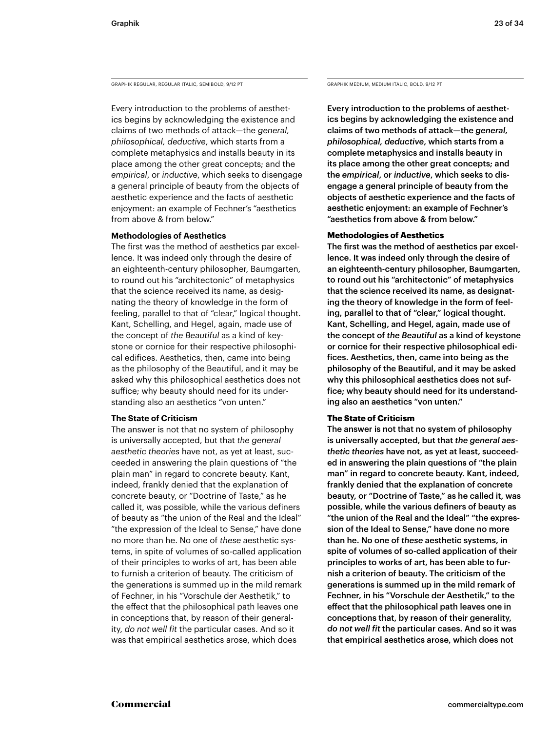GRAPHIK REGULAR, REGULAR ITALIC, SEMIBOLD, 9/12 PT GRAPHIK MEDIUM, MEDIUM, MEDIUM ITALIC, BOLD, 9/12 PT

Every introduction to the problems of aesthetics begins by acknowledging the existence and claims of two methods of attack—the *general, philosophical, deductive*, which starts from a complete metaphysics and installs beauty in its place among the other great concepts; and the *empirical*, or *inductive*, which seeks to disengage a general principle of beauty from the objects of aesthetic experience and the facts of aesthetic enjoyment: an example of Fechner's "aesthetics from above & from below."

### **Methodologies of Aesthetics**

The first was the method of aesthetics par excellence. It was indeed only through the desire of an eighteenth-century philosopher, Baumgarten, to round out his "architectonic" of metaphysics that the science received its name, as designating the theory of knowledge in the form of feeling, parallel to that of "clear," logical thought. Kant, Schelling, and Hegel, again, made use of the concept of *the Beautiful* as a kind of keystone or cornice for their respective philosophical edifices. Aesthetics, then, came into being as the philosophy of the Beautiful, and it may be asked why this philosophical aesthetics does not suffice; why beauty should need for its understanding also an aesthetics "von unten."

### **The State of Criticism**

The answer is not that no system of philosophy is universally accepted, but that *the general aesthetic theories* have not, as yet at least, succeeded in answering the plain questions of "the plain man" in regard to concrete beauty. Kant, indeed, frankly denied that the explanation of concrete beauty, or "Doctrine of Taste," as he called it, was possible, while the various definers of beauty as "the union of the Real and the Ideal" "the expression of the Ideal to Sense," have done no more than he. No one of *these* aesthetic systems, in spite of volumes of so-called application of their principles to works of art, has been able to furnish a criterion of beauty. The criticism of the generations is summed up in the mild remark of Fechner, in his "Vorschule der Aesthetik," to the effect that the philosophical path leaves one in conceptions that, by reason of their generality, *do not well fit* the particular cases. And so it was that empirical aesthetics arose, which does

Every introduction to the problems of aesthetics begins by acknowledging the existence and claims of two methods of attack—the *general, philosophical, deductive*, which starts from a complete metaphysics and installs beauty in its place among the other great concepts; and the *empirical*, or *inductive*, which seeks to disengage a general principle of beauty from the objects of aesthetic experience and the facts of aesthetic enjoyment: an example of Fechner's "aesthetics from above & from below."

### **Methodologies of Aesthetics**

The first was the method of aesthetics par excellence. It was indeed only through the desire of an eighteenth-century philosopher, Baumgarten, to round out his "architectonic" of metaphysics that the science received its name, as designating the theory of knowledge in the form of feeling, parallel to that of "clear," logical thought. Kant, Schelling, and Hegel, again, made use of the concept of *the Beautiful* as a kind of keystone or cornice for their respective philosophical edifices. Aesthetics, then, came into being as the philosophy of the Beautiful, and it may be asked why this philosophical aesthetics does not suffice; why beauty should need for its understanding also an aesthetics "von unten."

### **The State of Criticism**

The answer is not that no system of philosophy is universally accepted, but that *the general aesthetic theories* have not, as yet at least, succeeded in answering the plain questions of "the plain man" in regard to concrete beauty. Kant, indeed, frankly denied that the explanation of concrete beauty, or "Doctrine of Taste," as he called it, was possible, while the various definers of beauty as "the union of the Real and the Ideal" "the expression of the Ideal to Sense," have done no more than he. No one of *these* aesthetic systems, in spite of volumes of so-called application of their principles to works of art, has been able to furnish a criterion of beauty. The criticism of the generations is summed up in the mild remark of Fechner, in his "Vorschule der Aesthetik," to the effect that the philosophical path leaves one in conceptions that, by reason of their generality, *do not well fit* the particular cases. And so it was that empirical aesthetics arose, which does not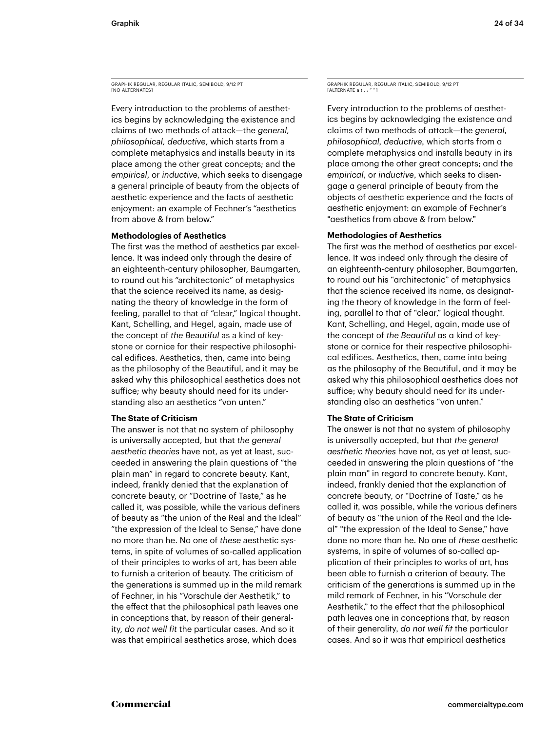GRAPHIK REGULAR, REGULAR ITALIC, SEMIBOLD, 9/12 PT [NO ALTERNATES

Every introduction to the problems of aesthetics begins by acknowledging the existence and claims of two methods of attack—the *general, philosophical, deductive*, which starts from a complete metaphysics and installs beauty in its place among the other great concepts; and the *empirical*, or *inductive*, which seeks to disengage a general principle of beauty from the objects of aesthetic experience and the facts of aesthetic enjoyment: an example of Fechner's "aesthetics from above & from below."

### **Methodologies of Aesthetics**

The first was the method of aesthetics par excellence. It was indeed only through the desire of an eighteenth-century philosopher, Baumgarten, to round out his "architectonic" of metaphysics that the science received its name, as designating the theory of knowledge in the form of feeling, parallel to that of "clear," logical thought. Kant, Schelling, and Hegel, again, made use of the concept of *the Beautiful* as a kind of keystone or cornice for their respective philosophical edifices. Aesthetics, then, came into being as the philosophy of the Beautiful, and it may be asked why this philosophical aesthetics does not suffice; why beauty should need for its understanding also an aesthetics "von unten."

### **The State of Criticism**

The answer is not that no system of philosophy is universally accepted, but that *the general aesthetic theories* have not, as yet at least, succeeded in answering the plain questions of "the plain man" in regard to concrete beauty. Kant, indeed, frankly denied that the explanation of concrete beauty, or "Doctrine of Taste," as he called it, was possible, while the various definers of beauty as "the union of the Real and the Ideal" "the expression of the Ideal to Sense," have done no more than he. No one of *these* aesthetic systems, in spite of volumes of so-called application of their principles to works of art, has been able to furnish a criterion of beauty. The criticism of the generations is summed up in the mild remark of Fechner, in his "Vorschule der Aesthetik," to the effect that the philosophical path leaves one in conceptions that, by reason of their generality, *do not well fit* the particular cases. And so it was that empirical aesthetics arose, which does

GRAPHIK REGULAR, REGULAR ITALIC, SEMIBOLD, 9/12 PT  $[ALTFRNATEA]$ 

Every introduction to the problems of aesthetics begins by acknowledging the existence and claims of two methods of attack—the *general, philosophical, deductive,* which starts from a complete metaphysics and installs beauty in its place among the other great concepts; and the *empirical*, or *inductive*, which seeks to disengage a general principle of beauty from the objects of aesthetic experience and the facts of aesthetic enjoyment: an example of Fechner's "aesthetics from above & from below."

### **Methodologies of Aesthetics**

The first was the method of aesthetics par excellence. It was indeed only through the desire of an eighteenth-century philosopher, Baumgarten, to round out his "architectonic" of metaphysics that the science received its name, as designating the theory of knowledge in the form of feeling, parallel to that of "clear," logical thought. Kant, Schelling, and Hegel, again, made use of the concept of *the Beautiful* as a kind of keystone or cornice for their respective philosophical edifices. Aesthetics, then, came into being as the philosophy of the Beautiful, and it may be asked why this philosophical aesthetics does not suffice; why beauty should need for its understanding also an aesthetics "von unten."

### **The State of Criticism**

The answer is not that no system of philosophy is universally accepted, but that *the general aesthetic theories* have not, as yet at least, succeeded in answering the plain questions of "the plain man" in regard to concrete beauty. Kant, indeed, frankly denied that the explanation of concrete beauty, or "Doctrine of Taste," as he called it, was possible, while the various definers of beauty as "the union of the Real and the Ideal" "the expression of the Ideal to Sense," have done no more than he. No one of *these* aesthetic systems, in spite of volumes of so-called application of their principles to works of art, has been able to furnish a criterion of beauty. The criticism of the generations is summed up in the mild remark of Fechner, in his "Vorschule der Aesthetik," to the effect that the philosophical path leaves one in conceptions that, by reason of their generality, *do not well fit* the particular cases. And so it was that empirical aesthetics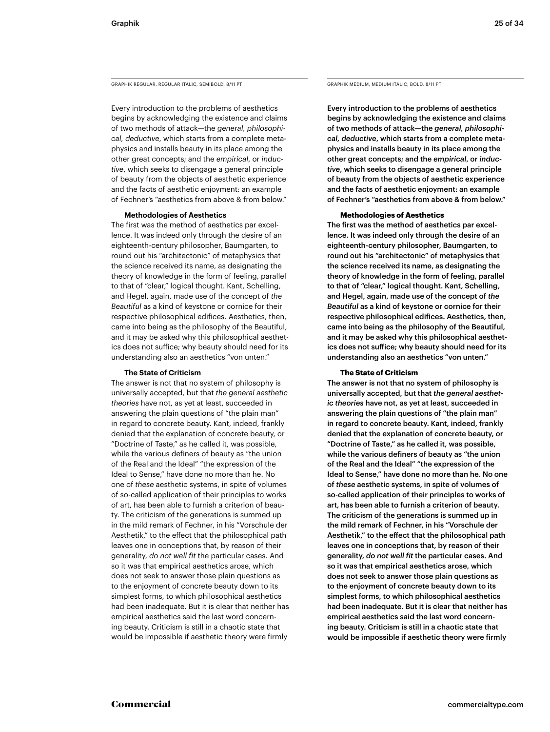GRAPHIK REGULAR, REGULAR ITALIC, SEMIBOLD, 8/11 PT GRAPHIK MEDIUM, MEDIUM ITALIC, BOLD, 8/11 PT

Every introduction to the problems of aesthetics begins by acknowledging the existence and claims of two methods of attack—the *general, philosophical, deductive*, which starts from a complete metaphysics and installs beauty in its place among the other great concepts; and the *empirical*, or *inductive*, which seeks to disengage a general principle of beauty from the objects of aesthetic experience and the facts of aesthetic enjoyment: an example of Fechner's "aesthetics from above & from below."

### **Methodologies of Aesthetics**

The first was the method of aesthetics par excellence. It was indeed only through the desire of an eighteenth-century philosopher, Baumgarten, to round out his "architectonic" of metaphysics that the science received its name, as designating the theory of knowledge in the form of feeling, parallel to that of "clear," logical thought. Kant, Schelling, and Hegel, again, made use of the concept of *the Beautiful* as a kind of keystone or cornice for their respective philosophical edifices. Aesthetics, then, came into being as the philosophy of the Beautiful, and it may be asked why this philosophical aesthetics does not suffice; why beauty should need for its understanding also an aesthetics "von unten."

### **The State of Criticism**

The answer is not that no system of philosophy is universally accepted, but that *the general aesthetic theories* have not, as yet at least, succeeded in answering the plain questions of "the plain man" in regard to concrete beauty. Kant, indeed, frankly denied that the explanation of concrete beauty, or "Doctrine of Taste," as he called it, was possible, while the various definers of beauty as "the union of the Real and the Ideal" "the expression of the Ideal to Sense," have done no more than he. No one of *these* aesthetic systems, in spite of volumes of so-called application of their principles to works of art, has been able to furnish a criterion of beauty. The criticism of the generations is summed up in the mild remark of Fechner, in his "Vorschule der Aesthetik," to the effect that the philosophical path leaves one in conceptions that, by reason of their generality, *do not well fit* the particular cases. And so it was that empirical aesthetics arose, which does not seek to answer those plain questions as to the enjoyment of concrete beauty down to its simplest forms, to which philosophical aesthetics had been inadequate. But it is clear that neither has empirical aesthetics said the last word concerning beauty. Criticism is still in a chaotic state that would be impossible if aesthetic theory were firmly

Every introduction to the problems of aesthetics begins by acknowledging the existence and claims of two methods of attack—the *general, philosophical, deductive*, which starts from a complete metaphysics and installs beauty in its place among the other great concepts; and the *empirical*, or *inductive*, which seeks to disengage a general principle of beauty from the objects of aesthetic experience and the facts of aesthetic enjoyment: an example of Fechner's "aesthetics from above & from below."

### **Methodologies of Aesthetics**

The first was the method of aesthetics par excellence. It was indeed only through the desire of an eighteenth-century philosopher, Baumgarten, to round out his "architectonic" of metaphysics that the science received its name, as designating the theory of knowledge in the form of feeling, parallel to that of "clear," logical thought. Kant, Schelling, and Hegel, again, made use of the concept of *the Beautiful* as a kind of keystone or cornice for their respective philosophical edifices. Aesthetics, then, came into being as the philosophy of the Beautiful, and it may be asked why this philosophical aesthetics does not suffice; why beauty should need for its understanding also an aesthetics "von unten."

### **The State of Criticism**

The answer is not that no system of philosophy is universally accepted, but that *the general aesthetic theories* have not, as yet at least, succeeded in answering the plain questions of "the plain man" in regard to concrete beauty. Kant, indeed, frankly denied that the explanation of concrete beauty, or "Doctrine of Taste," as he called it, was possible, while the various definers of beauty as "the union of the Real and the Ideal" "the expression of the Ideal to Sense," have done no more than he. No one of *these* aesthetic systems, in spite of volumes of so-called application of their principles to works of art, has been able to furnish a criterion of beauty. The criticism of the generations is summed up in the mild remark of Fechner, in his "Vorschule der Aesthetik," to the effect that the philosophical path leaves one in conceptions that, by reason of their generality, *do not well fit* the particular cases. And so it was that empirical aesthetics arose, which does not seek to answer those plain questions as to the enjoyment of concrete beauty down to its simplest forms, to which philosophical aesthetics had been inadequate. But it is clear that neither has empirical aesthetics said the last word concerning beauty. Criticism is still in a chaotic state that would be impossible if aesthetic theory were firmly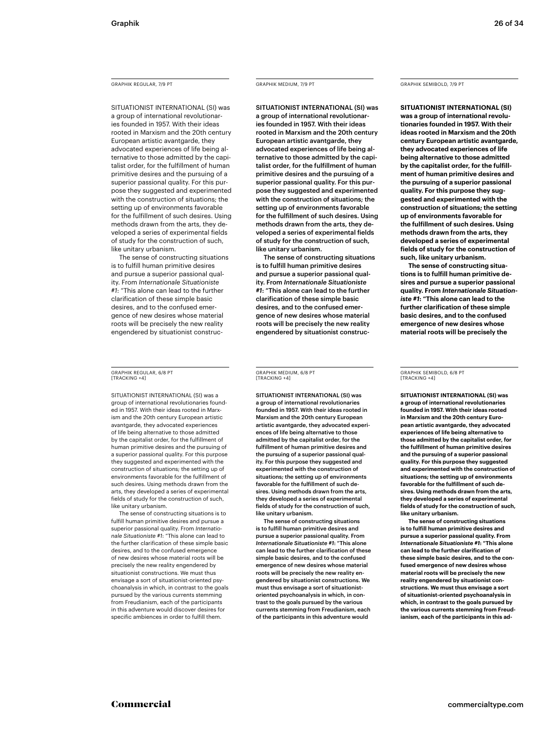### GRAPHIK REGULAR, 7/9 PT

SITUATIONIST INTERNATIONAL (SI) was a group of international revolutionaries founded in 1957. With their ideas rooted in Marxism and the 20th century European artistic avantgarde, they advocated experiences of life being alternative to those admitted by the capitalist order, for the fulfillment of human primitive desires and the pursuing of a superior passional quality. For this purpose they suggested and experimented with the construction of situations; the setting up of environments favorable for the fulfillment of such desires. Using methods drawn from the arts, they developed a series of experimental fields of study for the construction of such, like unitary urbanism.

The sense of constructing situations is to fulfill human primitive desires and pursue a superior passional quality. From *Internationale Situationiste #1*: "This alone can lead to the further clarification of these simple basic desires, and to the confused emergence of new desires whose material roots will be precisely the new reality engendered by situationist construc-

### GRAPHIK REGULAR, 6/8 PT [TRACKING +4]

SITUATIONIST INTERNATIONAL (SI) was a group of international revolutionaries founded in 1957. With their ideas rooted in Marxism and the 20th century European artistic avantgarde, they advocated experiences of life being alternative to those admitted by the capitalist order, for the fulfillment of human primitive desires and the pursuing of a superior passional quality. For this purpose they suggested and experimented with the construction of situations; the setting up of environments favorable for the fulfillment of such desires. Using methods drawn from the arts, they developed a series of experimental fields of study for the construction of such, like unitary urbanism.

The sense of constructing situations is to fulfill human primitive desires and pursue a superior passional quality. From *Internationale Situationiste #1*: "This alone can lead to the further clarification of these simple basic desires, and to the confused emergence of new desires whose material roots will be precisely the new reality engendered by situationist constructions. We must thus envisage a sort of situationist-oriented psychoanalysis in which, in contrast to the goals pursued by the various currents stemming from Freudianism, each of the participants in this adventure would discover desires for specific ambiences in order to fulfill them.

### GRAPHIK MEDIUM, 7/9 PT

SITUATIONIST INTERNATIONAL (SI) was a group of international revolutionaries founded in 1957. With their ideas rooted in Marxism and the 20th century European artistic avantgarde, they advocated experiences of life being alternative to those admitted by the capitalist order, for the fulfillment of human primitive desires and the pursuing of a superior passional quality. For this purpose they suggested and experimented with the construction of situations; the setting up of environments favorable for the fulfillment of such desires. Using methods drawn from the arts, they developed a series of experimental fields of study for the construction of such, like unitary urbanism.

The sense of constructing situations is to fulfill human primitive desires and pursue a superior passional quality. From *Internationale Situationiste #1*: "This alone can lead to the further clarification of these simple basic desires, and to the confused emergence of new desires whose material roots will be precisely the new reality engendered by situationist construc-

GRAPHIK MEDIUM, 6/8 PT [TRACKING +4]

SITUATIONIST INTERNATIONAL (SI) was a group of international revolutionaries founded in 1957. With their ideas rooted in Marxism and the 20th century European artistic avantgarde, they advocated experiences of life being alternative to those admitted by the capitalist order, for the fulfillment of human primitive desires and the pursuing of a superior passional quality. For this purpose they suggested and experimented with the construction of situations; the setting up of environments favorable for the fulfillment of such desires. Using methods drawn from the arts, they developed a series of experimental fields of study for the construction of such, like unitary urbanism.

The sense of constructing situations is to fulfill human primitive desires and pursue a superior passional quality. From *Internationale Situationiste #1*: "This alone can lead to the further clarification of these simple basic desires, and to the confused emergence of new desires whose material roots will be precisely the new reality engendered by situationist constructions. We must thus envisage a sort of situationistoriented psychoanalysis in which, in contrast to the goals pursued by the various currents stemming from Freudianism, each of the participants in this adventure would

### GRAPHIK SEMIBOLD, 7/9 PT

**SITUATIONIST INTERNATIONAL (SI) was a group of international revolutionaries founded in 1957. With their ideas rooted in Marxism and the 20th century European artistic avantgarde, they advocated experiences of life being alternative to those admitted by the capitalist order, for the fulfillment of human primitive desires and the pursuing of a superior passional quality. For this purpose they suggested and experimented with the construction of situations; the setting up of environments favorable for the fulfillment of such desires. Using methods drawn from the arts, they developed a series of experimental fields of study for the construction of such, like unitary urbanism.**

**The sense of constructing situations is to fulfill human primitive desires and pursue a superior passional quality. From** *Internationale Situationiste #1***: "This alone can lead to the further clarification of these simple basic desires, and to the confused emergence of new desires whose material roots will be precisely the** 

### GRAPHIK SEMIBOLD, 6/8 PT [TRACKING +4]

**SITUATIONIST INTERNATIONAL (SI) was a group of international revolutionaries founded in 1957. With their ideas rooted in Marxism and the 20th century European artistic avantgarde, they advocated experiences of life being alternative to those admitted by the capitalist order, for the fulfillment of human primitive desires and the pursuing of a superior passional quality. For this purpose they suggested and experimented with the construction of situations; the setting up of environments favorable for the fulfillment of such desires. Using methods drawn from the arts, they developed a series of experimental fields of study for the construction of such, like unitary urbanism.**

**The sense of constructing situations is to fulfill human primitive desires and pursue a superior passional quality. From**  *Internationale Situationiste #1***: "This alone can lead to the further clarification of these simple basic desires, and to the confused emergence of new desires whose material roots will be precisely the new reality engendered by situationist constructions. We must thus envisage a sort of situationist-oriented psychoanalysis in which, in contrast to the goals pursued by the various currents stemming from Freudianism, each of the participants in this ad-**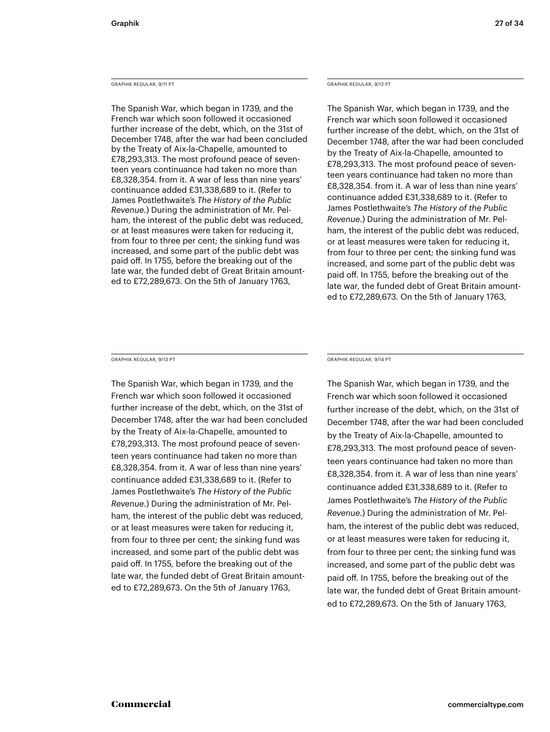### GRAPHIK REGULAR, 9/11 PT

The Spanish War, which began in 1739, and the French war which soon followed it occasioned further increase of the debt, which, on the 31st of December 1748, after the war had been concluded by the Treaty of Aix-la-Chapelle, amounted to £78,293,313. The most profound peace of seventeen years continuance had taken no more than £8,328,354. from it. A war of less than nine years' continuance added £31,338,689 to it. (Refer to James Postlethwaite's *The History of the Public Revenue.*) During the administration of Mr. Pelham, the interest of the public debt was reduced, or at least measures were taken for reducing it, from four to three per cent; the sinking fund was increased, and some part of the public debt was paid off. In 1755, before the breaking out of the late war, the funded debt of Great Britain amounted to £72,289,673. On the 5th of January 1763,

### GRAPHIK REGULAR, 9/12 PT

The Spanish War, which began in 1739, and the French war which soon followed it occasioned further increase of the debt, which, on the 31st of December 1748, after the war had been concluded by the Treaty of Aix-la-Chapelle, amounted to £78,293,313. The most profound peace of seventeen years continuance had taken no more than £8,328,354. from it. A war of less than nine years' continuance added £31,338,689 to it. (Refer to James Postlethwaite's *The History of the Public Revenue.*) During the administration of Mr. Pelham, the interest of the public debt was reduced, or at least measures were taken for reducing it, from four to three per cent; the sinking fund was increased, and some part of the public debt was paid off. In 1755, before the breaking out of the late war, the funded debt of Great Britain amounted to £72,289,673. On the 5th of January 1763,

GRAPHIK REGULAR, 9/13 PT

The Spanish War, which began in 1739, and the French war which soon followed it occasioned further increase of the debt, which, on the 31st of December 1748, after the war had been concluded by the Treaty of Aix-la-Chapelle, amounted to £78,293,313. The most profound peace of seventeen years continuance had taken no more than £8,328,354. from it. A war of less than nine years' continuance added £31,338,689 to it. (Refer to James Postlethwaite's *The History of the Public Revenue.*) During the administration of Mr. Pelham, the interest of the public debt was reduced, or at least measures were taken for reducing it, from four to three per cent; the sinking fund was increased, and some part of the public debt was paid off. In 1755, before the breaking out of the late war, the funded debt of Great Britain amounted to £72,289,673. On the 5th of January 1763,

GRAPHIK REGULAR, 9/14 PT

The Spanish War, which began in 1739, and the French war which soon followed it occasioned further increase of the debt, which, on the 31st of December 1748, after the war had been concluded by the Treaty of Aix-la-Chapelle, amounted to £78,293,313. The most profound peace of seventeen years continuance had taken no more than £8,328,354. from it. A war of less than nine years' continuance added £31,338,689 to it. (Refer to James Postlethwaite's *The History of the Public Revenue.*) During the administration of Mr. Pelham, the interest of the public debt was reduced, or at least measures were taken for reducing it, from four to three per cent; the sinking fund was increased, and some part of the public debt was paid off. In 1755, before the breaking out of the late war, the funded debt of Great Britain amounted to £72,289,673. On the 5th of January 1763,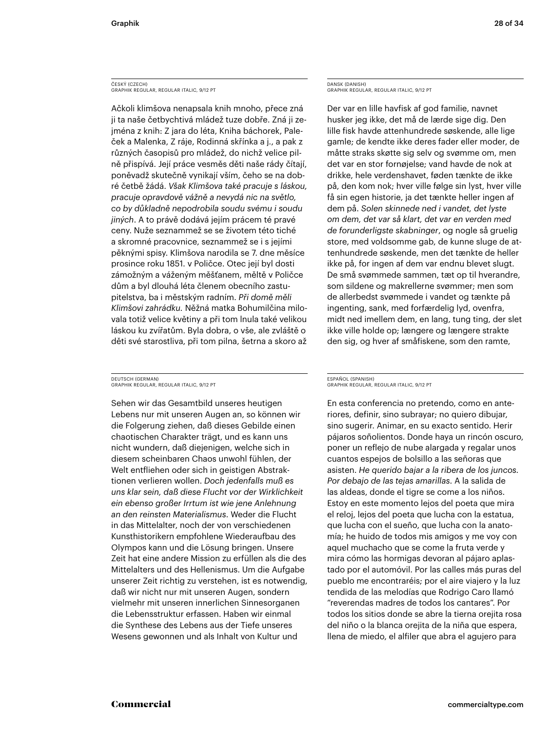### ČESKÝ (CZECH) GRAPHIK REGULAR, REGULAR ITALIC, 9/12 PT

Ačkoli klimšova nenapsala knih mnoho, přece zná ji ta naše četbychtivá mládež tuze dobře. Zná ji zejména z knih: Z jara do léta, Kniha báchorek, Paleček a Malenka, Z ráje, Rodinná skřínka a j., a pak z různých časopisů pro mládež, do nichž velice pilně přispívá. Její práce vesměs děti naše rády čítají, poněvadž skutečně vynikají vším, čeho se na dobré četbě žádá. *Však Klimšova také pracuje s láskou, pracuje opravdově vážně a nevydá nic na světlo, co by důkladně nepodrobila soudu svému i soudu jiných*. A to právě dodává jejím prácem té pravé ceny. Nuže seznammež se se životem této tiché a skromné pracovnice, seznammež se i s jejími pěknými spisy. Klimšova narodila se 7. dne měsíce prosince roku 1851. v Poličce. Otec její byl dosti zámožným a váženým měšťanem, měltě v Poličce dům a byl dlouhá léta členem obecního zastupitelstva, ba i městským radním. *Při domě měli Klimšovi zahrádku.* Něžná matka Bohumilčina milovala totiž velice květiny a při tom lnula také velikou láskou ku zvířatům. Byla dobra, o vše, ale zvláště o děti své starostliva, při tom pilna, šetrna a skoro až

### DEUTSCH (GERMAN) GRAPHIK REGULAR, REGULAR ITALIC, 9/12 PT

Sehen wir das Gesamtbild unseres heutigen Lebens nur mit unseren Augen an, so können wir die Folgerung ziehen, daß dieses Gebilde einen chaotischen Charakter trägt, und es kann uns nicht wundern, daß diejenigen, welche sich in diesem scheinbaren Chaos unwohl fühlen, der Welt entfliehen oder sich in geistigen Abstraktionen verlieren wollen. *Doch jedenfalls muß es uns klar sein, daß diese Flucht vor der Wirklichkeit ein ebenso großer Irrtum ist wie jene Anlehnung an den reinsten Materialismus*. Weder die Flucht in das Mittelalter, noch der von verschiedenen Kunsthistorikern empfohlene Wiederaufbau des Olympos kann und die Lösung bringen. Unsere Zeit hat eine andere Mission zu erfüllen als die des Mittelalters und des Hellenismus. Um die Aufgabe unserer Zeit richtig zu verstehen, ist es notwendig, daß wir nicht nur mit unseren Augen, sondern vielmehr mit unseren innerlichen Sinnesorganen die Lebensstruktur erfassen. Haben wir einmal die Synthese des Lebens aus der Tiefe unseres Wesens gewonnen und als Inhalt von Kultur und

### DANSK (DANISH) GRAPHIK REGULAR, REGULAR ITALIC, 9/12 PT

Der var en lille havfisk af god familie, navnet husker jeg ikke, det må de lærde sige dig. Den lille fisk havde attenhundrede søskende, alle lige gamle; de kendte ikke deres fader eller moder, de måtte straks skøtte sig selv og svømme om, men det var en stor fornøjelse; vand havde de nok at drikke, hele verdenshavet, føden tænkte de ikke på, den kom nok; hver ville følge sin lyst, hver ville få sin egen historie, ja det tænkte heller ingen af dem på. *Solen skinnede ned i vandet, det lyste om dem, det var så klart, det var en verden med de forunderligste skabninger*, og nogle så gruelig store, med voldsomme gab, de kunne sluge de attenhundrede søskende, men det tænkte de heller ikke på, for ingen af dem var endnu blevet slugt. De små svømmede sammen, tæt op til hverandre, som sildene og makrellerne svømmer; men som de allerbedst svømmede i vandet og tænkte på ingenting, sank, med forfærdelig lyd, ovenfra, midt ned imellem dem, en lang, tung ting, der slet ikke ville holde op; længere og længere strakte den sig, og hver af småfiskene, som den ramte,

### ESPAÑOL (SPANISH) GRAPHIK REGULAR, REGULAR ITALIC, 9/12 PT

En esta conferencia no pretendo, como en anteriores, definir, sino subrayar; no quiero dibujar, sino sugerir. Animar, en su exacto sentido. Herir pájaros soñolientos. Donde haya un rincón oscuro, poner un reflejo de nube alargada y regalar unos cuantos espejos de bolsillo a las señoras que asisten. *He querido bajar a la ribera de los juncos. Por debajo de las tejas amarillas*. A la salida de las aldeas, donde el tigre se come a los niños. Estoy en este momento lejos del poeta que mira el reloj, lejos del poeta que lucha con la estatua, que lucha con el sueño, que lucha con la anatomía; he huido de todos mis amigos y me voy con aquel muchacho que se come la fruta verde y mira cómo las hormigas devoran al pájaro aplastado por el automóvil. Por las calles más puras del pueblo me encontraréis; por el aire viajero y la luz tendida de las melodías que Rodrigo Caro llamó "reverendas madres de todos los cantares". Por todos los sitios donde se abre la tierna orejita rosa del niño o la blanca orejita de la niña que espera, llena de miedo, el alfiler que abra el agujero para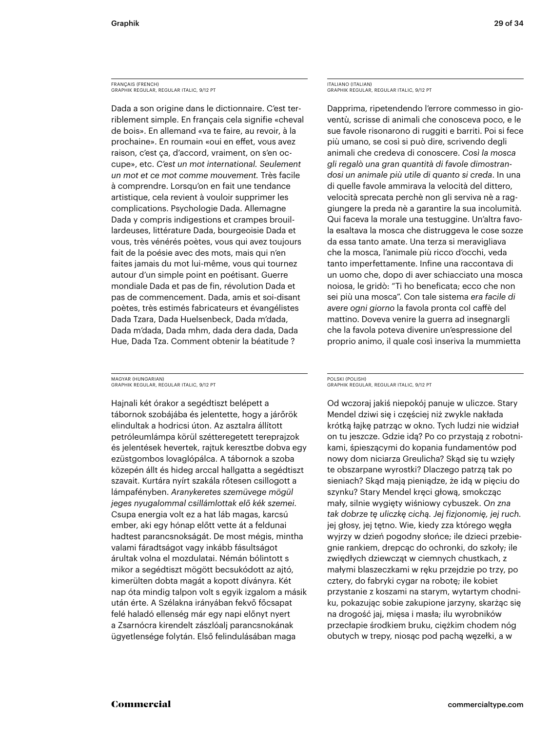### FRANÇAIS (FRENCH) GRAPHIK REGULAR, REGULAR ITALIC, 9/12 PT

Dada a son origine dans le dictionnaire. C'est terriblement simple. En français cela signifie «cheval de bois». En allemand «va te faire, au revoir, à la prochaine». En roumain «oui en effet, vous avez raison, c'est ça, d'accord, vraiment, on s'en occupe», etc. *C'est un mot international. Seulement un mot et ce mot comme mouvement.* Très facile à comprendre. Lorsqu'on en fait une tendance artistique, cela revient à vouloir supprimer les complications. Psychologie Dada. Allemagne Dada y compris indigestions et crampes brouillardeuses, littérature Dada, bourgeoisie Dada et vous, très vénérés poètes, vous qui avez toujours fait de la poésie avec des mots, mais qui n'en faites jamais du mot lui-même, vous qui tournez autour d'un simple point en poétisant. Guerre mondiale Dada et pas de fin, révolution Dada et pas de commencement. Dada, amis et soi-disant poètes, très estimés fabricateurs et évangélistes Dada Tzara, Dada Huelsenbeck, Dada m'dada, Dada m'dada, Dada mhm, dada dera dada, Dada Hue, Dada Tza. Comment obtenir la béatitude ?

### MAGYAR (HUNGARIAN) GRAPHIK REGULAR, REGULAR ITALIC, 9/12 PT

Hajnali két órakor a segédtiszt belépett a tábornok szobájába és jelentette, hogy a járőrök elindultak a hodricsi úton. Az asztalra állított petróleumlámpa körül szétteregetett tereprajzok és jelentések hevertek, rajtuk keresztbe dobva egy ezüstgombos lovaglópálca. A tábornok a szoba közepén állt és hideg arccal hallgatta a segédtiszt szavait. Kurtára nyírt szakála rőtesen csillogott a lámpafényben. *Aranykeretes szemüvege mögül jeges nyugalommal csillámlottak elő kék szemei.* Csupa energia volt ez a hat láb magas, karcsú ember, aki egy hónap előtt vette át a feldunai hadtest parancsnokságát. De most mégis, mintha valami fáradtságot vagy inkább fásultságot árultak volna el mozdulatai. Némán bólintott s mikor a segédtiszt mögött becsukódott az ajtó, kimerülten dobta magát a kopott díványra. Két nap óta mindig talpon volt s egyik izgalom a másik után érte. A Szélakna irányában fekvő főcsapat felé haladó ellenség már egy napi előnyt nyert a Zsarnócra kirendelt zászlóalj parancsnokának ügyetlensége folytán. Első felindulásában maga

ITALIANO (ITALIAN) GRAPHIK REGULAR, REGULAR ITALIC, 9/12 PT

Dapprima, ripetendendo l'errore commesso in gioventù, scrisse di animali che conosceva poco, e le sue favole risonarono di ruggiti e barriti. Poi si fece più umano, se così si può dire, scrivendo degli animali che credeva di conoscere. *Così la mosca gli regalò una gran quantità di favole dimostrandosi un animale più utile di quanto si creda*. In una di quelle favole ammirava la velocità del dittero, velocità sprecata perchè non gli serviva nè a raggiungere la preda nè a garantire la sua incolumità. Qui faceva la morale una testuggine. Un'altra favola esaltava la mosca che distruggeva le cose sozze da essa tanto amate. Una terza si meravigliava che la mosca, l'animale più ricco d'occhi, veda tanto imperfettamente. Infine una raccontava di un uomo che, dopo di aver schiacciato una mosca noiosa, le gridò: "Ti ho beneficata; ecco che non sei più una mosca". Con tale sistema *era facile di avere ogni giorno* la favola pronta col caffè del mattino. Doveva venire la guerra ad insegnargli che la favola poteva divenire un'espressione del proprio animo, il quale così inseriva la mummietta

### POLSKI (POLISH) GRAPHIK REGULAR, REGULAR ITALIC, 9/12 PT

Od wczoraj jakiś niepokój panuje w uliczce. Stary Mendel dziwi się i częściej niż zwykle nakłada krótką łajkę patrząc w okno. Tych ludzi nie widział on tu jeszcze. Gdzie idą? Po co przystają z robotnikami, śpieszącymi do kopania fundamentów pod nowy dom niciarza Greulicha? Skąd się tu wzięły te obszarpane wyrostki? Dlaczego patrzą tak po sieniach? Skąd mają pieniądze, że idą w pięciu do szynku? Stary Mendel kręci głową, smokcząc mały, silnie wygięty wiśniowy cybuszek. *On zna tak dobrze tę uliczkę cichą. Jej fizjonomię, jej ruch.* jej głosy, jej tętno. Wie, kiedy zza którego węgła wyjrzy w dzień pogodny słońce; ile dzieci przebiegnie rankiem, drepcąc do ochronki, do szkoły; ile zwiędłych dziewcząt w ciemnych chustkach, z małymi blaszeczkami w ręku przejdzie po trzy, po cztery, do fabryki cygar na robotę; ile kobiet przystanie z koszami na starym, wytartym chodniku, pokazując sobie zakupione jarzyny, skarżąc się na drogość jaj, mięsa i masła; ilu wyrobników przecłapie środkiem bruku, ciężkim chodem nóg obutych w trepy, niosąc pod pachą węzełki, a w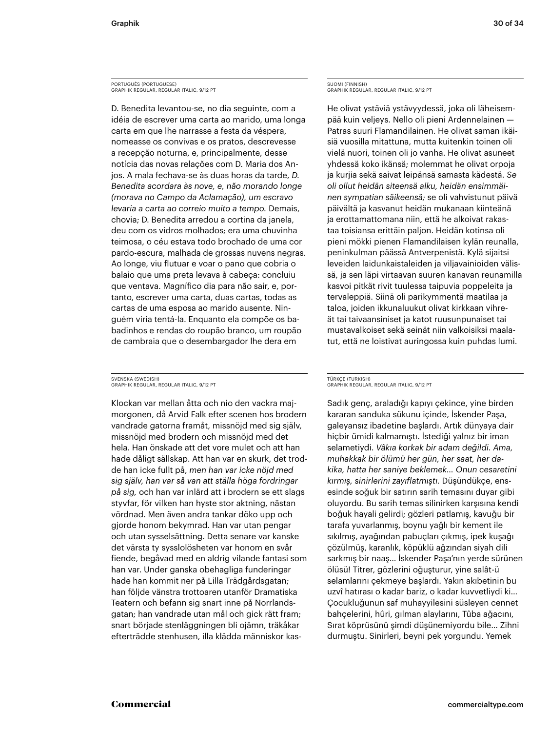PORTUGUÊS (PORTUGUESE) GRAPHIK REGULAR, REGULAR ITALIC, 9/12 PT

D. Benedita levantou-se, no dia seguinte, com a idéia de escrever uma carta ao marido, uma longa carta em que lhe narrasse a festa da véspera, nomeasse os convivas e os pratos, descrevesse a recepção noturna, e, principalmente, desse notícia das novas relações com D. Maria dos Anjos. A mala fechava-se às duas horas da tarde, *D. Benedita acordara às nove, e, não morando longe (morava no Campo da Aclamação), um escravo levaria a carta ao correio muito a tempo.* Demais, chovia; D. Benedita arredou a cortina da janela, deu com os vidros molhados; era uma chuvinha teimosa, o céu estava todo brochado de uma cor pardo-escura, malhada de grossas nuvens negras. Ao longe, viu flutuar e voar o pano que cobria o balaio que uma preta levava à cabeça: concluiu que ventava. Magnífico dia para não sair, e, portanto, escrever uma carta, duas cartas, todas as cartas de uma esposa ao marido ausente. Ninguém viria tentá-la. Enquanto ela compõe os babadinhos e rendas do roupão branco, um roupão de cambraia que o desembargador lhe dera em

### SVENSKA (SWEDISH) GRAPHIK REGULAR, REGULAR ITALIC, 9/12 PT

Klockan var mellan åtta och nio den vackra majmorgonen, då Arvid Falk efter scenen hos brodern vandrade gatorna framåt, missnöjd med sig själv, missnöjd med brodern och missnöjd med det hela. Han önskade att det vore mulet och att han hade dåligt sällskap. Att han var en skurk, det trodde han icke fullt på, *men han var icke nöjd med sig själv, han var så van att ställa höga fordringar på sig,* och han var inlärd att i brodern se ett slags styvfar, för vilken han hyste stor aktning, nästan vördnad. Men även andra tankar döko upp och gjorde honom bekymrad. Han var utan pengar och utan sysselsättning. Detta senare var kanske det värsta ty sysslolösheten var honom en svår fiende, begåvad med en aldrig vilande fantasi som han var. Under ganska obehagliga funderingar hade han kommit ner på Lilla Trädgårdsgatan; han följde vänstra trottoaren utanför Dramatiska Teatern och befann sig snart inne på Norrlandsgatan; han vandrade utan mål och gick rätt fram; snart började stenläggningen bli ojämn, träkåkar efterträdde stenhusen, illa klädda människor kasSUOMI (FINNISH) GRAPHIK REGULAR, REGULAR ITALIC, 9/12 PT

He olivat ystäviä ystävyydessä, joka oli läheisempää kuin veljeys. Nello oli pieni Ardennelainen — Patras suuri Flamandilainen. He olivat saman ikäisiä vuosilla mitattuna, mutta kuitenkin toinen oli vielä nuori, toinen oli jo vanha. He olivat asuneet yhdessä koko ikänsä; molemmat he olivat orpoja ja kurjia sekä saivat leipänsä samasta kädestä. *Se oli ollut heidän siteensä alku, heidän ensimmäinen sympatian säikeensä;* se oli vahvistunut päivä päivältä ja kasvanut heidän mukanaan kiinteänä ja erottamattomana niin, että he alkoivat rakastaa toisiansa erittäin paljon. Heidän kotinsa oli pieni mökki pienen Flamandilaisen kylän reunalla, peninkulman päässä Antverpenistä. Kylä sijaitsi leveiden laidunkaistaleiden ja viljavainioiden välissä, ja sen läpi virtaavan suuren kanavan reunamilla kasvoi pitkät rivit tuulessa taipuvia poppeleita ja tervaleppiä. Siinä oli parikymmentä maatilaa ja taloa, joiden ikkunaluukut olivat kirkkaan vihreät tai taivaansiniset ja katot ruusunpunaiset tai mustavalkoiset sekä seinät niin valkoisiksi maalatut, että ne loistivat auringossa kuin puhdas lumi.

### TÜRKÇE (TURKISH) GRAPHIK REGULAR, REGULAR ITALIC, 9/12 PT

Sadık genç, araladığı kapıyı çekince, yine birden kararan sanduka sükunu içinde, İskender Paşa, galeyansız ibadetine başlardı. Artık dünyaya dair hiçbir ümidi kalmamıştı. İstediği yalnız bir iman selametiydi. *Vâkıa korkak bir adam değildi. Ama, muhakkak bir ölümü her gün, her saat, her dakika, hatta her saniye beklemek… Onun cesaretini kırmış, sinirlerini zayıflatmıştı.* Düşündükçe, ensesinde soğuk bir satırın sarih temasını duyar gibi oluyordu. Bu sarih temas silinirken karşısına kendi boğuk hayali gelirdi; gözleri patlamış, kavuğu bir tarafa yuvarlanmış, boynu yağlı bir kement ile sıkılmış, ayağından pabuçları çıkmış, ipek kuşağı çözülmüş, karanlık, köpüklü ağzından siyah dili sarkmış bir naaş… İskender Paşa'nın yerde sürünen ölüsü! Titrer, gözlerini oğuşturur, yine salât-ü selamlarını çekmeye başlardı. Yakın akıbetinin bu uzvî hatırası o kadar bariz, o kadar kuvvetliydi ki… Çocukluğunun saf muhayyilesini süsleyen cennet bahçelerini, hûri, gılman alaylarını, Tûba ağacını, Sırat köprüsünü şimdi düşünemiyordu bile… Zihni durmuştu. Sinirleri, beyni pek yorgundu. Yemek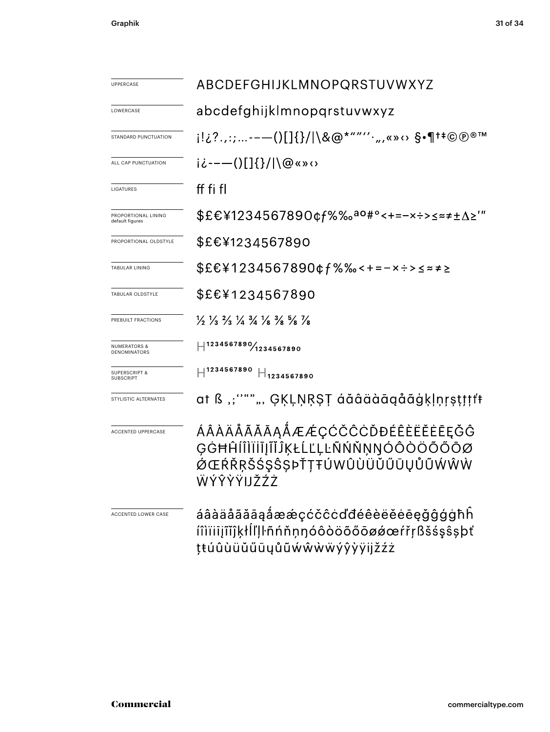| <b>UPPERCASE</b>                               | ABCDEFGHIJKLMNOPQRSTUVWXYZ                                                                                                    |  |  |  |  |
|------------------------------------------------|-------------------------------------------------------------------------------------------------------------------------------|--|--|--|--|
| <b>I OWERCASE</b>                              | abcdefghijklmnopgrstuvwxyz                                                                                                    |  |  |  |  |
| STANDARD PUNCTUATION                           | i!¿?.,:;--—()[]{}/ \&@*""′′′·",«»↔ §•¶†‡©®®™                                                                                  |  |  |  |  |
| ALL CAP PUNCTUATION                            | ii---()[]{}/ \@«»<>                                                                                                           |  |  |  |  |
| <b>LIGATURES</b>                               | ff fi fl                                                                                                                      |  |  |  |  |
| PROPORTIONAL LINING<br>default figures         | \$£€¥1234567890¢f%‰ <sup>ao#</sup> °<+=-×÷>≤≈≠±∆≥'"                                                                           |  |  |  |  |
| PROPORTIONAL OLDSTYLE                          | \$£€¥1234567890                                                                                                               |  |  |  |  |
| <b>TABULAR LINING</b>                          | \$£€¥1234567890¢f%‰<+=-×÷>≤≈≠≥                                                                                                |  |  |  |  |
| TABULAR OLDSTYLE                               | \$£€¥1234567890                                                                                                               |  |  |  |  |
| PREBUILT FRACTIONS                             | $\frac{1}{2}$ $\frac{1}{3}$ $\frac{2}{3}$ $\frac{1}{4}$ $\frac{3}{4}$ $\frac{1}{8}$ $\frac{3}{8}$ $\frac{5}{8}$ $\frac{1}{8}$ |  |  |  |  |
| <b>NUMERATORS &amp;</b><br><b>DENOMINATORS</b> | $\text{H}^{1234567890}\text{/}_\text{1234567890}$                                                                             |  |  |  |  |
| <b>SUPERSCRIPT &amp;</b><br><b>SUBSCRIPT</b>   | $H^{1234567890} H_{1234567890}$                                                                                               |  |  |  |  |
| STYLISTIC ALTERNATES                           | at ß ,;'''"", ĢĶĻŅŖŞŢ áăâäàāqåãģķļņŗşţţţţt                                                                                    |  |  |  |  |
| ACCENTED UPPERCASE                             | ÁÂÀÄÅÃĂĀĄÅÆÆÇĆČĈĊĎĐÉÊÈËĔĒĒĘĞĜ<br>ĢĠĦĤĺÎÌĬĬĬJĨĬĴĶŁĹĽĻĿÑŃŇŅŊÓÔÒÖÕŐŌØ<br>ØŒŔŘŖŠŚŞŜŞÞŤŢŦÚWÛÙÜŬŰŪŲŮŨŴŴŴ<br>ŴÝŶŶŸIJŽŹŻ              |  |  |  |  |
| ACCENTED LOWER CASE                            | áâàäåãăāąåææçćčĉcďđéêèëĕėēęǧĝģġħh<br>íîìïiijĩĭĵķłĺľḷŀñńňṇŋóôòöõőōøǿœŕřṛßšśşŝṣþť<br>ţŧúûùüŭűūyůũẃŵẁẅýŷỳÿijžźż                  |  |  |  |  |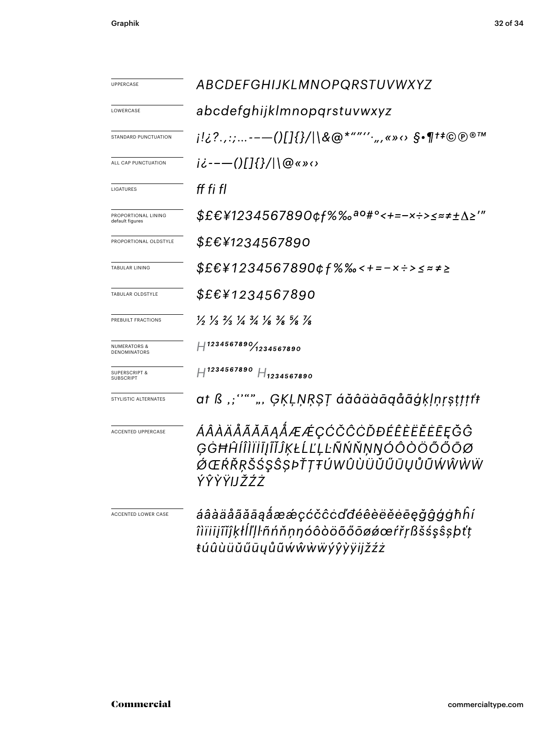| UPPERCASE                                    | ABCDEFGHIJKLMNOPQRSTUVWXYZ                                                                                                    |  |  |  |
|----------------------------------------------|-------------------------------------------------------------------------------------------------------------------------------|--|--|--|
| LOWERCASE                                    | abcdefghijklmnopqrstuvwxyz                                                                                                    |  |  |  |
| STANDARD PUNCTUATION                         | j!¿?.,:;--—()[]{}/ \&@*""′′·",«»↔ §•¶†‡©℗®™                                                                                   |  |  |  |
| ALL CAP PUNCTUATION                          | ii---()[]{}/ \@«»<>                                                                                                           |  |  |  |
| LIGATURES                                    | ff fi fl                                                                                                                      |  |  |  |
| PROPORTIONAL LINING<br>default figures       | \$£€¥1234567890¢f%‰ <sup>ao#</sup> °<+=-×÷>≤≈≠±∆≥'″                                                                           |  |  |  |
| PROPORTIONAL OLDSTYLE                        | \$£€¥1234567890                                                                                                               |  |  |  |
| <b>TABULAR LINING</b>                        | $$EE41234567890$ cf%%< + = - x ÷ > < = = $\times$                                                                             |  |  |  |
| TABULAR OLDSTYLE                             | <i>\$£€¥1234567890</i>                                                                                                        |  |  |  |
| PREBUILT FRACTIONS                           | $\frac{1}{2}$ $\frac{1}{3}$ $\frac{2}{3}$ $\frac{1}{4}$ $\frac{3}{4}$ $\frac{1}{8}$ $\frac{3}{8}$ $\frac{5}{8}$ $\frac{1}{8}$ |  |  |  |
| <b>NUMERATORS &amp;</b><br>DENOMINATORS      | $H^{1234567890}/_{1234567890}$                                                                                                |  |  |  |
| <b>SUPERSCRIPT &amp;</b><br><b>SUBSCRIPT</b> | $H^{1234567890}$ $H_{1234567890}$                                                                                             |  |  |  |
| STYLISTIC ALTERNATES                         | at ß ,;''""", ĢĶĻŅŖŞŢ áăâäàāqåãģķļņŗşţţţt†                                                                                    |  |  |  |
| ACCENTED UPPERCASE                           | ÁÂÀÄÅÃĂĀĄÅÆÆÇĆČĈĊĎĐÉÊÈËĚĒĘĞĜ<br>ĢĠĦĤĺÎÌÏĬĪJĨĬĴĶŁĹĽĻĿÑŃŇŅŊÓÔÒÖÕŐŌØ<br><i>ÓŒŔŘŖŠŚŞŜŞÞŤŢŦÚWÛÙÜŬŰŪŲŮŨŴŴŴ</i> Ŵ<br>ÝŶŶŸIJŽŹŻ       |  |  |  |
| ACCENTED LOWER CASE                          | áâàäåãããąåææçćčĉcďđéêèëĕēēęǧĝģġħĥí<br>îìïiiįĩĭĵķłĺľļŀñńňṇŋóôòöõőōøǿœŕřŗßšśşŝşþťţ<br>ŧúûùüŭűūyůũẃŵẁẅýŷỳÿijžźż                  |  |  |  |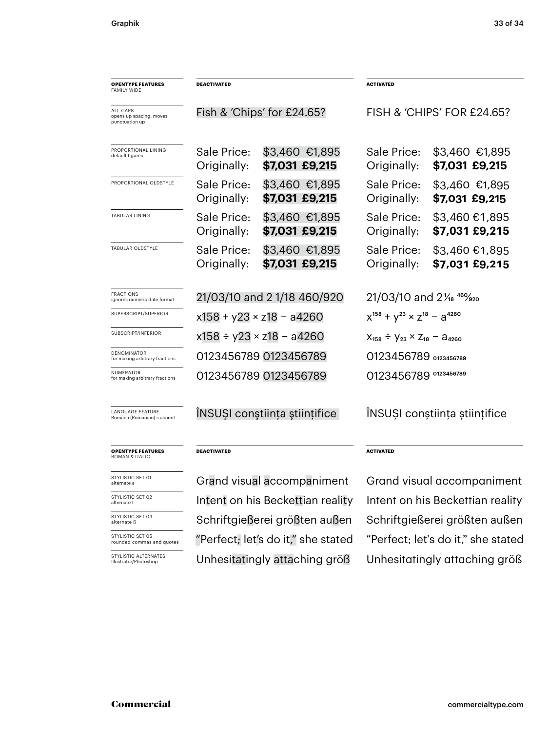| <b>OPENTYPE FEATURES</b><br><b>FAMILY WIDE</b>        | <b>DEACTIVATED</b>               |                                    | <b>ACTIVATED</b>                                |                                           |  |
|-------------------------------------------------------|----------------------------------|------------------------------------|-------------------------------------------------|-------------------------------------------|--|
| ALL CAPS<br>opens up spacing, moves<br>punctuation up | Fish & 'Chips' for £24.65?       |                                    | FISH & 'CHIPS' FOR £24.65?                      |                                           |  |
| PROPORTIONAL LINING<br>default figures                | Sale Price:<br>Originally:       | \$3,460 €1,895<br>\$7,031 £9,215   | Sale Price:<br>Originally:                      | \$3,460 €1,895<br>\$7,031 £9,215          |  |
| PROPORTIONAL OLDSTYLE                                 | Sale Price:<br>Originally:       | \$3,460 €1,895<br>\$7,031 £9,215   | Sale Price:<br>Originally:                      | \$3,460 €1,895<br>\$7,031 £9,215          |  |
| TABULAR LINING                                        | Sale Price:<br>Originally:       | \$3,460 €1,895<br>\$7,031 £9,215   | Sale Price:<br>Originally:                      | $$3,460 \text{ }€1,895$<br>\$7,031 £9,215 |  |
| TABULAR OLDSTYLE                                      | Sale Price:<br>Originally:       | \$3,460 €1,895<br>\$7,031 £9,215   | Sale Price:<br>Originally:                      | \$3,460 €1,895<br>\$7,031 £9,215          |  |
| <b>FRACTIONS</b><br>ignores numeric date format       | 21/03/10 and 21/18 460/920       |                                    | 21/03/10 and 21/ <sub>8</sub> 46% <sub>20</sub> |                                           |  |
| SUPERSCRIPT/SUPERIOR                                  | x158 + y23 × z18 - a4260         |                                    | $x^{158} + y^{23} \times z^{18} - a^{4260}$     |                                           |  |
| SUBSCRIPT/INFERIOR                                    |                                  | x158 ÷ y23 × z18 - a4260           | $X_{158} \div Y_{23} \times Z_{18} - A_{4260}$  |                                           |  |
| <b>DENOMINATOR</b><br>for making arbitrary fractions  | 0123456789 0123456789            |                                    | 0123456789 0123456789                           |                                           |  |
| NUMERATOR<br>for making arbitrary fractions           |                                  | 0123456789 0123456789              | 0123456789 0123456789                           |                                           |  |
| <b>LANGUAGE FEATURE</b><br>Română (Romanian) s accent | INSUȘI conștiința științifice    |                                    | ÎNSUȘI conștiința științifice                   |                                           |  |
| <b>OPENTYPE FEATURES</b><br>ROMAN & ITALIC            | DEACTIVATED                      |                                    | <b>ACTIVATED</b>                                |                                           |  |
| STYLISTIC SET 01<br>alternate a                       | Grand visual accompaniment       |                                    | Grand visual accompaniment                      |                                           |  |
| STYLISTIC SET 02<br>alternate t                       | Intent on his Beckettian reality |                                    | Intent on his Beckettian reality                |                                           |  |
| STYLISTIC SET 03<br>alternate ß                       | Schriftgießerei größten außen    |                                    | Schriftgießerei größten außen                   |                                           |  |
| STYLISTIC SET 05<br>rounded commas and quotes         |                                  | "Perfect; let's do it," she stated | "Perfect; let's do it," she stated              |                                           |  |
| STYLISTIC ALTERNATES<br>Illustrator/Photoshop         |                                  | Unhesitatingly attaching größ      | Unhesitatingly attaching größ                   |                                           |  |